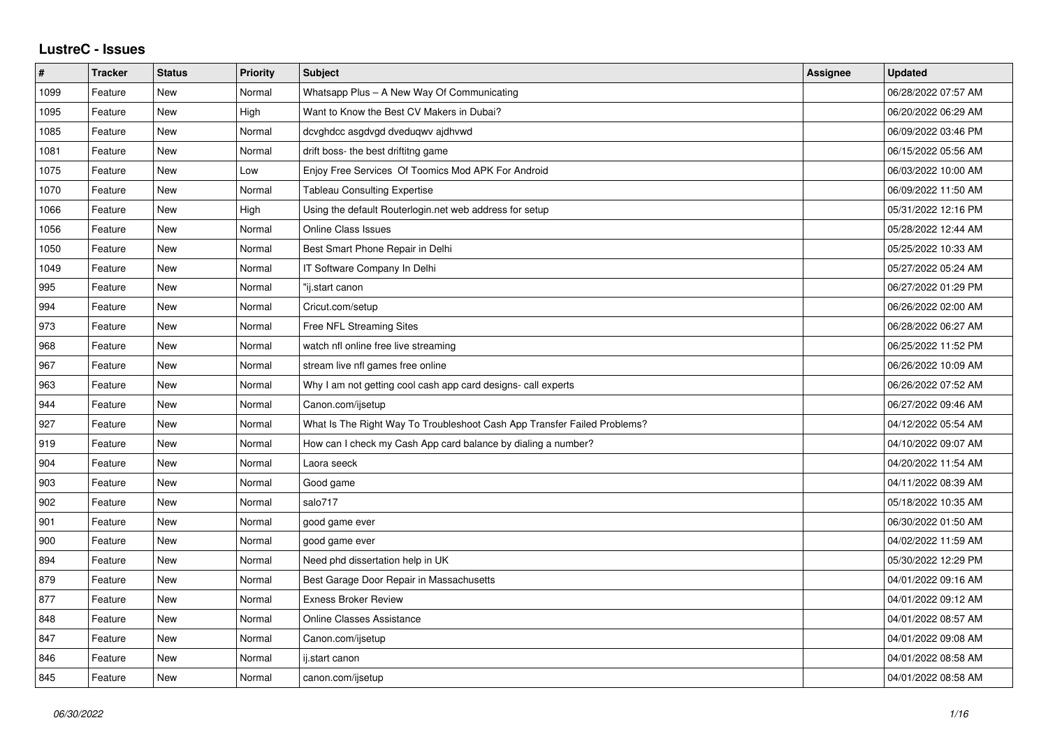## **LustreC - Issues**

| $\pmb{\#}$ | <b>Tracker</b> | <b>Status</b> | Priority | <b>Subject</b>                                                           | <b>Assignee</b> | <b>Updated</b>      |
|------------|----------------|---------------|----------|--------------------------------------------------------------------------|-----------------|---------------------|
| 1099       | Feature        | New           | Normal   | Whatsapp Plus - A New Way Of Communicating                               |                 | 06/28/2022 07:57 AM |
| 1095       | Feature        | New           | High     | Want to Know the Best CV Makers in Dubai?                                |                 | 06/20/2022 06:29 AM |
| 1085       | Feature        | <b>New</b>    | Normal   | dcvghdcc asgdvgd dveduqwv ajdhvwd                                        |                 | 06/09/2022 03:46 PM |
| 1081       | Feature        | New           | Normal   | drift boss- the best driftitng game                                      |                 | 06/15/2022 05:56 AM |
| 1075       | Feature        | New           | Low      | Enjoy Free Services Of Toomics Mod APK For Android                       |                 | 06/03/2022 10:00 AM |
| 1070       | Feature        | New           | Normal   | <b>Tableau Consulting Expertise</b>                                      |                 | 06/09/2022 11:50 AM |
| 1066       | Feature        | New           | High     | Using the default Routerlogin.net web address for setup                  |                 | 05/31/2022 12:16 PM |
| 1056       | Feature        | New           | Normal   | <b>Online Class Issues</b>                                               |                 | 05/28/2022 12:44 AM |
| 1050       | Feature        | New           | Normal   | Best Smart Phone Repair in Delhi                                         |                 | 05/25/2022 10:33 AM |
| 1049       | Feature        | <b>New</b>    | Normal   | IT Software Company In Delhi                                             |                 | 05/27/2022 05:24 AM |
| 995        | Feature        | New           | Normal   | "ij.start canon                                                          |                 | 06/27/2022 01:29 PM |
| 994        | Feature        | New           | Normal   | Cricut.com/setup                                                         |                 | 06/26/2022 02:00 AM |
| 973        | Feature        | <b>New</b>    | Normal   | Free NFL Streaming Sites                                                 |                 | 06/28/2022 06:27 AM |
| 968        | Feature        | New           | Normal   | watch nfl online free live streaming                                     |                 | 06/25/2022 11:52 PM |
| 967        | Feature        | New           | Normal   | stream live nfl games free online                                        |                 | 06/26/2022 10:09 AM |
| 963        | Feature        | New           | Normal   | Why I am not getting cool cash app card designs- call experts            |                 | 06/26/2022 07:52 AM |
| 944        | Feature        | New           | Normal   | Canon.com/ijsetup                                                        |                 | 06/27/2022 09:46 AM |
| 927        | Feature        | New           | Normal   | What Is The Right Way To Troubleshoot Cash App Transfer Failed Problems? |                 | 04/12/2022 05:54 AM |
| 919        | Feature        | <b>New</b>    | Normal   | How can I check my Cash App card balance by dialing a number?            |                 | 04/10/2022 09:07 AM |
| 904        | Feature        | New           | Normal   | Laora seeck                                                              |                 | 04/20/2022 11:54 AM |
| 903        | Feature        | New           | Normal   | Good game                                                                |                 | 04/11/2022 08:39 AM |
| 902        | Feature        | New           | Normal   | salo717                                                                  |                 | 05/18/2022 10:35 AM |
| 901        | Feature        | New           | Normal   | good game ever                                                           |                 | 06/30/2022 01:50 AM |
| 900        | Feature        | New           | Normal   | good game ever                                                           |                 | 04/02/2022 11:59 AM |
| 894        | Feature        | <b>New</b>    | Normal   | Need phd dissertation help in UK                                         |                 | 05/30/2022 12:29 PM |
| 879        | Feature        | New           | Normal   | Best Garage Door Repair in Massachusetts                                 |                 | 04/01/2022 09:16 AM |
| 877        | Feature        | New           | Normal   | <b>Exness Broker Review</b>                                              |                 | 04/01/2022 09:12 AM |
| 848        | Feature        | <b>New</b>    | Normal   | <b>Online Classes Assistance</b>                                         |                 | 04/01/2022 08:57 AM |
| 847        | Feature        | New           | Normal   | Canon.com/ijsetup                                                        |                 | 04/01/2022 09:08 AM |
| 846        | Feature        | New           | Normal   | ij.start canon                                                           |                 | 04/01/2022 08:58 AM |
| 845        | Feature        | <b>New</b>    | Normal   | canon.com/ijsetup                                                        |                 | 04/01/2022 08:58 AM |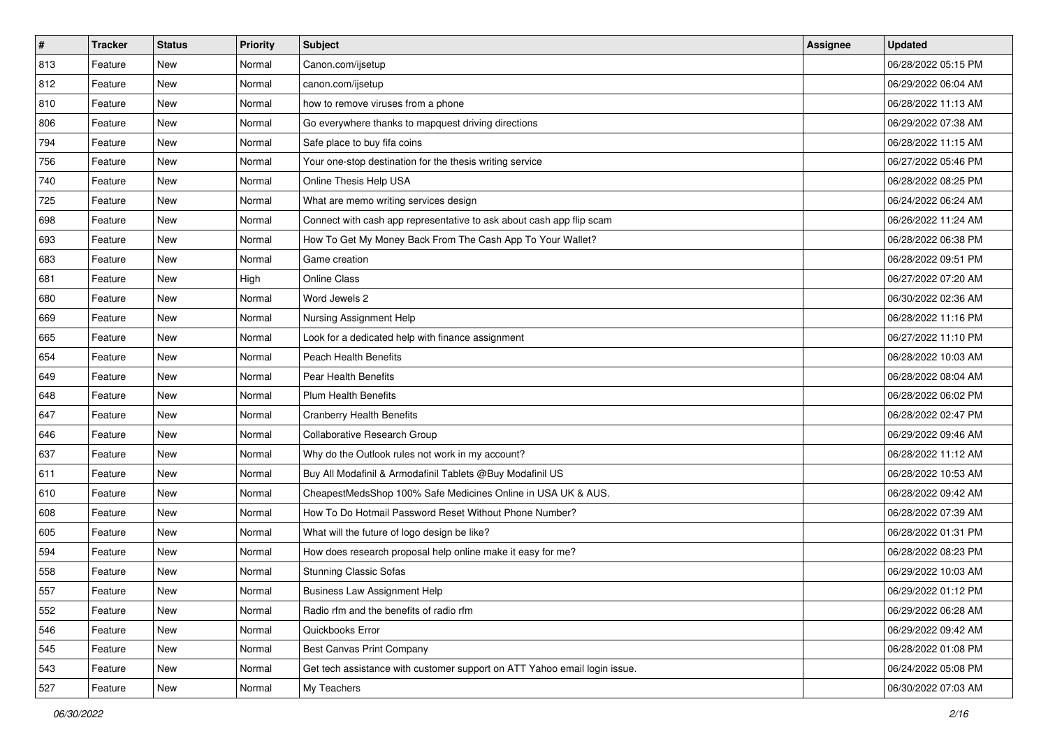| $\pmb{\#}$ | <b>Tracker</b> | <b>Status</b> | <b>Priority</b> | Subject                                                                   | Assignee | <b>Updated</b>      |
|------------|----------------|---------------|-----------------|---------------------------------------------------------------------------|----------|---------------------|
| 813        | Feature        | New           | Normal          | Canon.com/ijsetup                                                         |          | 06/28/2022 05:15 PM |
| 812        | Feature        | <b>New</b>    | Normal          | canon.com/ijsetup                                                         |          | 06/29/2022 06:04 AM |
| 810        | Feature        | New           | Normal          | how to remove viruses from a phone                                        |          | 06/28/2022 11:13 AM |
| 806        | Feature        | New           | Normal          | Go everywhere thanks to mapquest driving directions                       |          | 06/29/2022 07:38 AM |
| 794        | Feature        | <b>New</b>    | Normal          | Safe place to buy fifa coins                                              |          | 06/28/2022 11:15 AM |
| 756        | Feature        | New           | Normal          | Your one-stop destination for the thesis writing service                  |          | 06/27/2022 05:46 PM |
| 740        | Feature        | New           | Normal          | Online Thesis Help USA                                                    |          | 06/28/2022 08:25 PM |
| 725        | Feature        | New           | Normal          | What are memo writing services design                                     |          | 06/24/2022 06:24 AM |
| 698        | Feature        | <b>New</b>    | Normal          | Connect with cash app representative to ask about cash app flip scam      |          | 06/26/2022 11:24 AM |
| 693        | Feature        | <b>New</b>    | Normal          | How To Get My Money Back From The Cash App To Your Wallet?                |          | 06/28/2022 06:38 PM |
| 683        | Feature        | New           | Normal          | Game creation                                                             |          | 06/28/2022 09:51 PM |
| 681        | Feature        | New           | High            | <b>Online Class</b>                                                       |          | 06/27/2022 07:20 AM |
| 680        | Feature        | New           | Normal          | Word Jewels 2                                                             |          | 06/30/2022 02:36 AM |
| 669        | Feature        | New           | Normal          | Nursing Assignment Help                                                   |          | 06/28/2022 11:16 PM |
| 665        | Feature        | <b>New</b>    | Normal          | Look for a dedicated help with finance assignment                         |          | 06/27/2022 11:10 PM |
| 654        | Feature        | New           | Normal          | <b>Peach Health Benefits</b>                                              |          | 06/28/2022 10:03 AM |
| 649        | Feature        | <b>New</b>    | Normal          | Pear Health Benefits                                                      |          | 06/28/2022 08:04 AM |
| 648        | Feature        | <b>New</b>    | Normal          | <b>Plum Health Benefits</b>                                               |          | 06/28/2022 06:02 PM |
| 647        | Feature        | New           | Normal          | <b>Cranberry Health Benefits</b>                                          |          | 06/28/2022 02:47 PM |
| 646        | Feature        | <b>New</b>    | Normal          | Collaborative Research Group                                              |          | 06/29/2022 09:46 AM |
| 637        | Feature        | New           | Normal          | Why do the Outlook rules not work in my account?                          |          | 06/28/2022 11:12 AM |
| 611        | Feature        | <b>New</b>    | Normal          | Buy All Modafinil & Armodafinil Tablets @Buy Modafinil US                 |          | 06/28/2022 10:53 AM |
| 610        | Feature        | <b>New</b>    | Normal          | CheapestMedsShop 100% Safe Medicines Online in USA UK & AUS.              |          | 06/28/2022 09:42 AM |
| 608        | Feature        | New           | Normal          | How To Do Hotmail Password Reset Without Phone Number?                    |          | 06/28/2022 07:39 AM |
| 605        | Feature        | New           | Normal          | What will the future of logo design be like?                              |          | 06/28/2022 01:31 PM |
| 594        | Feature        | <b>New</b>    | Normal          | How does research proposal help online make it easy for me?               |          | 06/28/2022 08:23 PM |
| 558        | Feature        | New           | Normal          | <b>Stunning Classic Sofas</b>                                             |          | 06/29/2022 10:03 AM |
| 557        | Feature        | New           | Normal          | <b>Business Law Assignment Help</b>                                       |          | 06/29/2022 01:12 PM |
| 552        | Feature        | New           | Normal          | Radio rfm and the benefits of radio rfm                                   |          | 06/29/2022 06:28 AM |
| 546        | Feature        | New           | Normal          | Quickbooks Error                                                          |          | 06/29/2022 09:42 AM |
| 545        | Feature        | New           | Normal          | <b>Best Canvas Print Company</b>                                          |          | 06/28/2022 01:08 PM |
| 543        | Feature        | New           | Normal          | Get tech assistance with customer support on ATT Yahoo email login issue. |          | 06/24/2022 05:08 PM |
| 527        | Feature        | New           | Normal          | My Teachers                                                               |          | 06/30/2022 07:03 AM |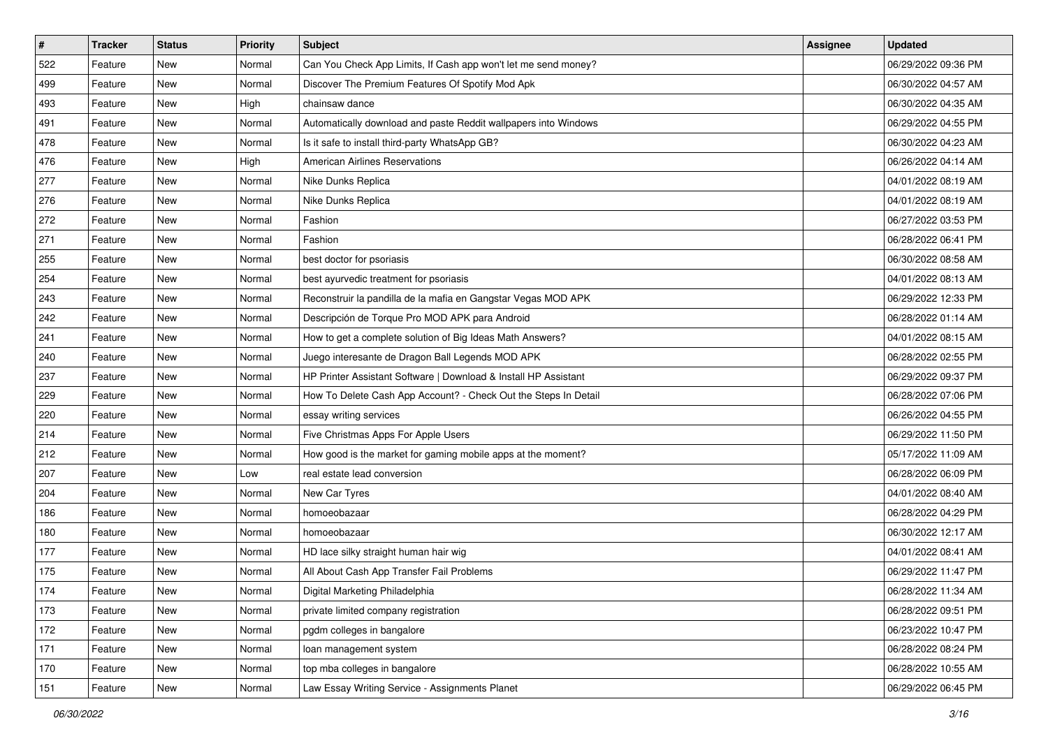| $\sharp$ | <b>Tracker</b> | <b>Status</b> | <b>Priority</b> | Subject                                                         | <b>Assignee</b> | <b>Updated</b>      |
|----------|----------------|---------------|-----------------|-----------------------------------------------------------------|-----------------|---------------------|
| 522      | Feature        | New           | Normal          | Can You Check App Limits, If Cash app won't let me send money?  |                 | 06/29/2022 09:36 PM |
| 499      | Feature        | New           | Normal          | Discover The Premium Features Of Spotify Mod Apk                |                 | 06/30/2022 04:57 AM |
| 493      | Feature        | New           | High            | chainsaw dance                                                  |                 | 06/30/2022 04:35 AM |
| 491      | Feature        | New           | Normal          | Automatically download and paste Reddit wallpapers into Windows |                 | 06/29/2022 04:55 PM |
| 478      | Feature        | <b>New</b>    | Normal          | Is it safe to install third-party WhatsApp GB?                  |                 | 06/30/2022 04:23 AM |
| 476      | Feature        | New           | High            | <b>American Airlines Reservations</b>                           |                 | 06/26/2022 04:14 AM |
| 277      | Feature        | New           | Normal          | Nike Dunks Replica                                              |                 | 04/01/2022 08:19 AM |
| 276      | Feature        | New           | Normal          | Nike Dunks Replica                                              |                 | 04/01/2022 08:19 AM |
| 272      | Feature        | New           | Normal          | Fashion                                                         |                 | 06/27/2022 03:53 PM |
| 271      | Feature        | <b>New</b>    | Normal          | Fashion                                                         |                 | 06/28/2022 06:41 PM |
| 255      | Feature        | New           | Normal          | best doctor for psoriasis                                       |                 | 06/30/2022 08:58 AM |
| 254      | Feature        | New           | Normal          | best ayurvedic treatment for psoriasis                          |                 | 04/01/2022 08:13 AM |
| 243      | Feature        | New           | Normal          | Reconstruir la pandilla de la mafia en Gangstar Vegas MOD APK   |                 | 06/29/2022 12:33 PM |
| 242      | Feature        | New           | Normal          | Descripción de Torque Pro MOD APK para Android                  |                 | 06/28/2022 01:14 AM |
| 241      | Feature        | <b>New</b>    | Normal          | How to get a complete solution of Big Ideas Math Answers?       |                 | 04/01/2022 08:15 AM |
| 240      | Feature        | New           | Normal          | Juego interesante de Dragon Ball Legends MOD APK                |                 | 06/28/2022 02:55 PM |
| 237      | Feature        | New           | Normal          | HP Printer Assistant Software   Download & Install HP Assistant |                 | 06/29/2022 09:37 PM |
| 229      | Feature        | <b>New</b>    | Normal          | How To Delete Cash App Account? - Check Out the Steps In Detail |                 | 06/28/2022 07:06 PM |
| 220      | Feature        | New           | Normal          | essay writing services                                          |                 | 06/26/2022 04:55 PM |
| 214      | Feature        | New           | Normal          | Five Christmas Apps For Apple Users                             |                 | 06/29/2022 11:50 PM |
| 212      | Feature        | New           | Normal          | How good is the market for gaming mobile apps at the moment?    |                 | 05/17/2022 11:09 AM |
| 207      | Feature        | New           | Low             | real estate lead conversion                                     |                 | 06/28/2022 06:09 PM |
| 204      | Feature        | <b>New</b>    | Normal          | New Car Tyres                                                   |                 | 04/01/2022 08:40 AM |
| 186      | Feature        | New           | Normal          | homoeobazaar                                                    |                 | 06/28/2022 04:29 PM |
| 180      | Feature        | New           | Normal          | homoeobazaar                                                    |                 | 06/30/2022 12:17 AM |
| 177      | Feature        | New           | Normal          | HD lace silky straight human hair wig                           |                 | 04/01/2022 08:41 AM |
| 175      | Feature        | New           | Normal          | All About Cash App Transfer Fail Problems                       |                 | 06/29/2022 11:47 PM |
| 174      | Feature        | New           | Normal          | Digital Marketing Philadelphia                                  |                 | 06/28/2022 11:34 AM |
| 173      | Feature        | New           | Normal          | private limited company registration                            |                 | 06/28/2022 09:51 PM |
| 172      | Feature        | New           | Normal          | pgdm colleges in bangalore                                      |                 | 06/23/2022 10:47 PM |
| 171      | Feature        | New           | Normal          | loan management system                                          |                 | 06/28/2022 08:24 PM |
| 170      | Feature        | New           | Normal          | top mba colleges in bangalore                                   |                 | 06/28/2022 10:55 AM |
| 151      | Feature        | New           | Normal          | Law Essay Writing Service - Assignments Planet                  |                 | 06/29/2022 06:45 PM |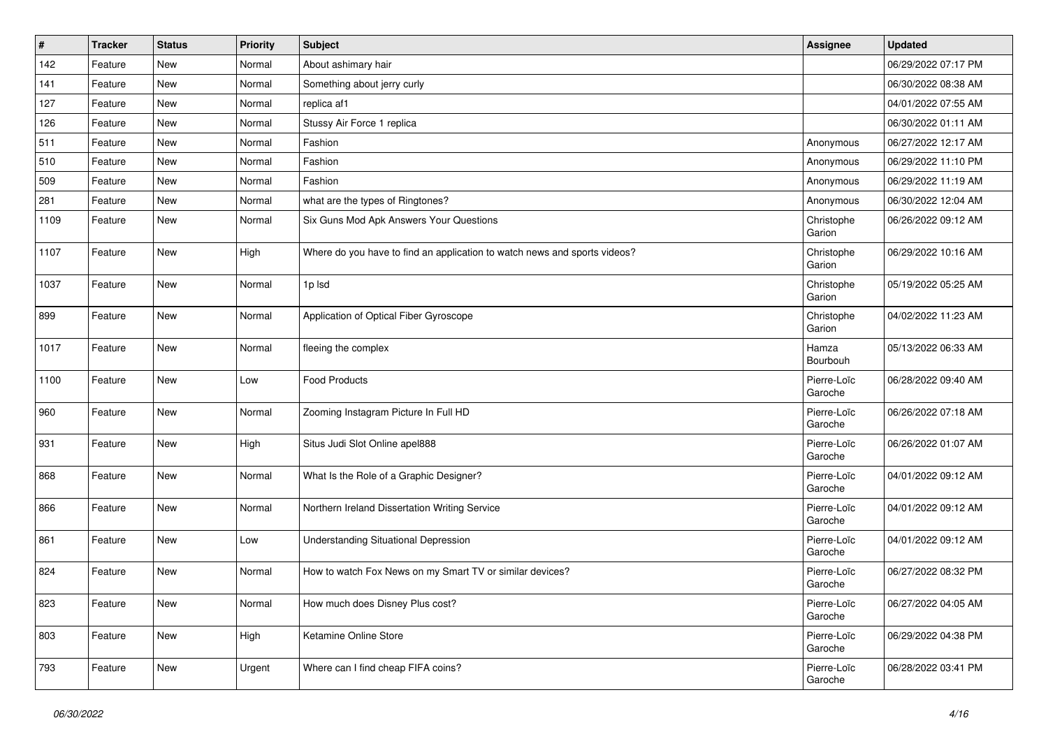| $\vert$ # | <b>Tracker</b> | <b>Status</b> | Priority | <b>Subject</b>                                                            | <b>Assignee</b>        | <b>Updated</b>      |
|-----------|----------------|---------------|----------|---------------------------------------------------------------------------|------------------------|---------------------|
| 142       | Feature        | New           | Normal   | About ashimary hair                                                       |                        | 06/29/2022 07:17 PM |
| 141       | Feature        | <b>New</b>    | Normal   | Something about jerry curly                                               |                        | 06/30/2022 08:38 AM |
| 127       | Feature        | New           | Normal   | replica af1                                                               |                        | 04/01/2022 07:55 AM |
| 126       | Feature        | <b>New</b>    | Normal   | Stussy Air Force 1 replica                                                |                        | 06/30/2022 01:11 AM |
| 511       | Feature        | <b>New</b>    | Normal   | Fashion                                                                   | Anonymous              | 06/27/2022 12:17 AM |
| 510       | Feature        | New           | Normal   | Fashion                                                                   | Anonymous              | 06/29/2022 11:10 PM |
| 509       | Feature        | New           | Normal   | Fashion                                                                   | Anonymous              | 06/29/2022 11:19 AM |
| 281       | Feature        | New           | Normal   | what are the types of Ringtones?                                          | Anonymous              | 06/30/2022 12:04 AM |
| 1109      | Feature        | New           | Normal   | Six Guns Mod Apk Answers Your Questions                                   | Christophe<br>Garion   | 06/26/2022 09:12 AM |
| 1107      | Feature        | New           | High     | Where do you have to find an application to watch news and sports videos? | Christophe<br>Garion   | 06/29/2022 10:16 AM |
| 1037      | Feature        | New           | Normal   | 1p Isd                                                                    | Christophe<br>Garion   | 05/19/2022 05:25 AM |
| 899       | Feature        | <b>New</b>    | Normal   | Application of Optical Fiber Gyroscope                                    | Christophe<br>Garion   | 04/02/2022 11:23 AM |
| 1017      | Feature        | New           | Normal   | fleeing the complex                                                       | Hamza<br>Bourbouh      | 05/13/2022 06:33 AM |
| 1100      | Feature        | New           | Low      | <b>Food Products</b>                                                      | Pierre-Loïc<br>Garoche | 06/28/2022 09:40 AM |
| 960       | Feature        | New           | Normal   | Zooming Instagram Picture In Full HD                                      | Pierre-Loïc<br>Garoche | 06/26/2022 07:18 AM |
| 931       | Feature        | New           | High     | Situs Judi Slot Online apel888                                            | Pierre-Loïc<br>Garoche | 06/26/2022 01:07 AM |
| 868       | Feature        | New           | Normal   | What Is the Role of a Graphic Designer?                                   | Pierre-Loïc<br>Garoche | 04/01/2022 09:12 AM |
| 866       | Feature        | New           | Normal   | Northern Ireland Dissertation Writing Service                             | Pierre-Loïc<br>Garoche | 04/01/2022 09:12 AM |
| 861       | Feature        | <b>New</b>    | Low      | <b>Understanding Situational Depression</b>                               | Pierre-Loïc<br>Garoche | 04/01/2022 09:12 AM |
| 824       | Feature        | New           | Normal   | How to watch Fox News on my Smart TV or similar devices?                  | Pierre-Loïc<br>Garoche | 06/27/2022 08:32 PM |
| 823       | Feature        | New           | Normal   | How much does Disney Plus cost?                                           | Pierre-Loïc<br>Garoche | 06/27/2022 04:05 AM |
| 803       | Feature        | New           | High     | Ketamine Online Store                                                     | Pierre-Loïc<br>Garoche | 06/29/2022 04:38 PM |
| 793       | Feature        | New           | Urgent   | Where can I find cheap FIFA coins?                                        | Pierre-Loïc<br>Garoche | 06/28/2022 03:41 PM |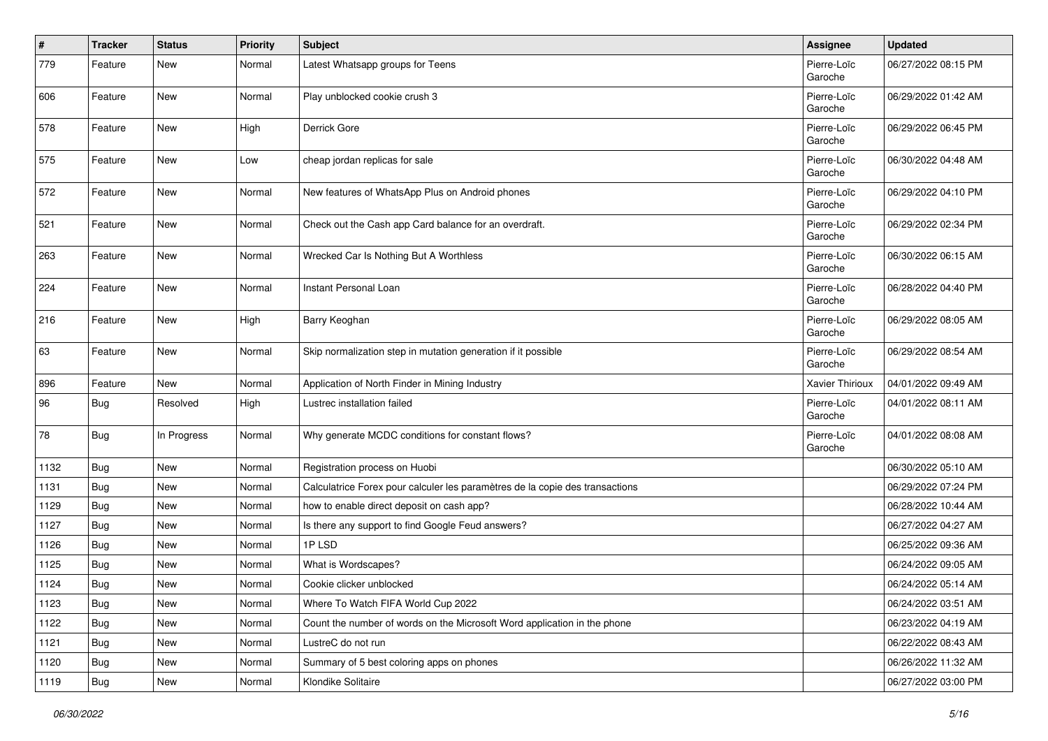| $\pmb{\#}$ | <b>Tracker</b> | <b>Status</b> | <b>Priority</b> | <b>Subject</b>                                                               | Assignee               | <b>Updated</b>      |
|------------|----------------|---------------|-----------------|------------------------------------------------------------------------------|------------------------|---------------------|
| 779        | Feature        | New           | Normal          | Latest Whatsapp groups for Teens                                             | Pierre-Loïc<br>Garoche | 06/27/2022 08:15 PM |
| 606        | Feature        | <b>New</b>    | Normal          | Play unblocked cookie crush 3                                                | Pierre-Loïc<br>Garoche | 06/29/2022 01:42 AM |
| 578        | Feature        | New           | High            | Derrick Gore                                                                 | Pierre-Loïc<br>Garoche | 06/29/2022 06:45 PM |
| 575        | Feature        | New           | Low             | cheap jordan replicas for sale                                               | Pierre-Loïc<br>Garoche | 06/30/2022 04:48 AM |
| 572        | Feature        | <b>New</b>    | Normal          | New features of WhatsApp Plus on Android phones                              | Pierre-Loïc<br>Garoche | 06/29/2022 04:10 PM |
| 521        | Feature        | New           | Normal          | Check out the Cash app Card balance for an overdraft.                        | Pierre-Loïc<br>Garoche | 06/29/2022 02:34 PM |
| 263        | Feature        | <b>New</b>    | Normal          | Wrecked Car Is Nothing But A Worthless                                       | Pierre-Loïc<br>Garoche | 06/30/2022 06:15 AM |
| 224        | Feature        | <b>New</b>    | Normal          | Instant Personal Loan                                                        | Pierre-Loïc<br>Garoche | 06/28/2022 04:40 PM |
| 216        | Feature        | <b>New</b>    | High            | Barry Keoghan                                                                | Pierre-Loïc<br>Garoche | 06/29/2022 08:05 AM |
| 63         | Feature        | <b>New</b>    | Normal          | Skip normalization step in mutation generation if it possible                | Pierre-Loïc<br>Garoche | 06/29/2022 08:54 AM |
| 896        | Feature        | New           | Normal          | Application of North Finder in Mining Industry                               | Xavier Thirioux        | 04/01/2022 09:49 AM |
| 96         | <b>Bug</b>     | Resolved      | High            | Lustrec installation failed                                                  | Pierre-Loïc<br>Garoche | 04/01/2022 08:11 AM |
| 78         | <b>Bug</b>     | In Progress   | Normal          | Why generate MCDC conditions for constant flows?                             | Pierre-Loïc<br>Garoche | 04/01/2022 08:08 AM |
| 1132       | <b>Bug</b>     | <b>New</b>    | Normal          | Registration process on Huobi                                                |                        | 06/30/2022 05:10 AM |
| 1131       | Bug            | New           | Normal          | Calculatrice Forex pour calculer les paramètres de la copie des transactions |                        | 06/29/2022 07:24 PM |
| 1129       | Bug            | New           | Normal          | how to enable direct deposit on cash app?                                    |                        | 06/28/2022 10:44 AM |
| 1127       | Bug            | <b>New</b>    | Normal          | Is there any support to find Google Feud answers?                            |                        | 06/27/2022 04:27 AM |
| 1126       | <b>Bug</b>     | New           | Normal          | 1PLSD                                                                        |                        | 06/25/2022 09:36 AM |
| 1125       | <b>Bug</b>     | New           | Normal          | What is Wordscapes?                                                          |                        | 06/24/2022 09:05 AM |
| 1124       | <b>Bug</b>     | <b>New</b>    | Normal          | Cookie clicker unblocked                                                     |                        | 06/24/2022 05:14 AM |
| 1123       | Bug            | New           | Normal          | Where To Watch FIFA World Cup 2022                                           |                        | 06/24/2022 03:51 AM |
| 1122       | Bug            | New           | Normal          | Count the number of words on the Microsoft Word application in the phone     |                        | 06/23/2022 04:19 AM |
| 1121       | Bug            | <b>New</b>    | Normal          | LustreC do not run                                                           |                        | 06/22/2022 08:43 AM |
| 1120       | <b>Bug</b>     | <b>New</b>    | Normal          | Summary of 5 best coloring apps on phones                                    |                        | 06/26/2022 11:32 AM |
| 1119       | <b>Bug</b>     | New           | Normal          | Klondike Solitaire                                                           |                        | 06/27/2022 03:00 PM |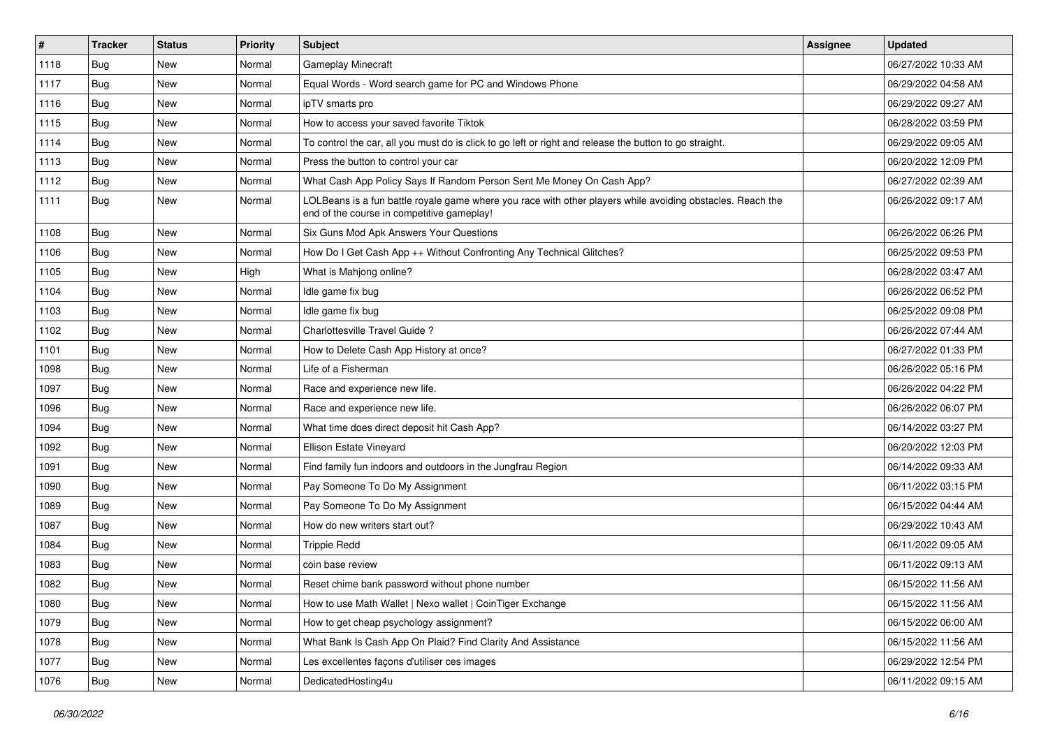| $\vert$ # | <b>Tracker</b> | <b>Status</b> | <b>Priority</b> | <b>Subject</b>                                                                                                                                           | Assignee | <b>Updated</b>      |
|-----------|----------------|---------------|-----------------|----------------------------------------------------------------------------------------------------------------------------------------------------------|----------|---------------------|
| 1118      | <b>Bug</b>     | New           | Normal          | Gameplay Minecraft                                                                                                                                       |          | 06/27/2022 10:33 AM |
| 1117      | Bug            | New           | Normal          | Equal Words - Word search game for PC and Windows Phone                                                                                                  |          | 06/29/2022 04:58 AM |
| 1116      | Bug            | New           | Normal          | ipTV smarts pro                                                                                                                                          |          | 06/29/2022 09:27 AM |
| 1115      | Bug            | <b>New</b>    | Normal          | How to access your saved favorite Tiktok                                                                                                                 |          | 06/28/2022 03:59 PM |
| 1114      | Bug            | <b>New</b>    | Normal          | To control the car, all you must do is click to go left or right and release the button to go straight.                                                  |          | 06/29/2022 09:05 AM |
| 1113      | Bug            | New           | Normal          | Press the button to control your car                                                                                                                     |          | 06/20/2022 12:09 PM |
| 1112      | Bug            | <b>New</b>    | Normal          | What Cash App Policy Says If Random Person Sent Me Money On Cash App?                                                                                    |          | 06/27/2022 02:39 AM |
| 1111      | Bug            | <b>New</b>    | Normal          | LOLBeans is a fun battle royale game where you race with other players while avoiding obstacles. Reach the<br>end of the course in competitive gameplay! |          | 06/26/2022 09:17 AM |
| 1108      | Bug            | <b>New</b>    | Normal          | Six Guns Mod Apk Answers Your Questions                                                                                                                  |          | 06/26/2022 06:26 PM |
| 1106      | Bug            | New           | Normal          | How Do I Get Cash App ++ Without Confronting Any Technical Glitches?                                                                                     |          | 06/25/2022 09:53 PM |
| 1105      | Bug            | <b>New</b>    | High            | What is Mahjong online?                                                                                                                                  |          | 06/28/2022 03:47 AM |
| 1104      | Bug            | <b>New</b>    | Normal          | Idle game fix bug                                                                                                                                        |          | 06/26/2022 06:52 PM |
| 1103      | Bug            | New           | Normal          | Idle game fix bug                                                                                                                                        |          | 06/25/2022 09:08 PM |
| 1102      | Bug            | New           | Normal          | Charlottesville Travel Guide?                                                                                                                            |          | 06/26/2022 07:44 AM |
| 1101      | Bug            | New           | Normal          | How to Delete Cash App History at once?                                                                                                                  |          | 06/27/2022 01:33 PM |
| 1098      | Bug            | <b>New</b>    | Normal          | Life of a Fisherman                                                                                                                                      |          | 06/26/2022 05:16 PM |
| 1097      | Bug            | New           | Normal          | Race and experience new life.                                                                                                                            |          | 06/26/2022 04:22 PM |
| 1096      | <b>Bug</b>     | New           | Normal          | Race and experience new life.                                                                                                                            |          | 06/26/2022 06:07 PM |
| 1094      | Bug            | New           | Normal          | What time does direct deposit hit Cash App?                                                                                                              |          | 06/14/2022 03:27 PM |
| 1092      | Bug            | New           | Normal          | Ellison Estate Vineyard                                                                                                                                  |          | 06/20/2022 12:03 PM |
| 1091      | Bug            | <b>New</b>    | Normal          | Find family fun indoors and outdoors in the Jungfrau Region                                                                                              |          | 06/14/2022 09:33 AM |
| 1090      | Bug            | <b>New</b>    | Normal          | Pay Someone To Do My Assignment                                                                                                                          |          | 06/11/2022 03:15 PM |
| 1089      | <b>Bug</b>     | New           | Normal          | Pay Someone To Do My Assignment                                                                                                                          |          | 06/15/2022 04:44 AM |
| 1087      | Bug            | New           | Normal          | How do new writers start out?                                                                                                                            |          | 06/29/2022 10:43 AM |
| 1084      | Bug            | New           | Normal          | <b>Trippie Redd</b>                                                                                                                                      |          | 06/11/2022 09:05 AM |
| 1083      | Bug            | New           | Normal          | coin base review                                                                                                                                         |          | 06/11/2022 09:13 AM |
| 1082      | <b>Bug</b>     | New           | Normal          | Reset chime bank password without phone number                                                                                                           |          | 06/15/2022 11:56 AM |
| 1080      | Bug            | New           | Normal          | How to use Math Wallet   Nexo wallet   CoinTiger Exchange                                                                                                |          | 06/15/2022 11:56 AM |
| 1079      | <b>Bug</b>     | New           | Normal          | How to get cheap psychology assignment?                                                                                                                  |          | 06/15/2022 06:00 AM |
| 1078      | <b>Bug</b>     | New           | Normal          | What Bank Is Cash App On Plaid? Find Clarity And Assistance                                                                                              |          | 06/15/2022 11:56 AM |
| 1077      | <b>Bug</b>     | New           | Normal          | Les excellentes façons d'utiliser ces images                                                                                                             |          | 06/29/2022 12:54 PM |
| 1076      | <b>Bug</b>     | New           | Normal          | DedicatedHosting4u                                                                                                                                       |          | 06/11/2022 09:15 AM |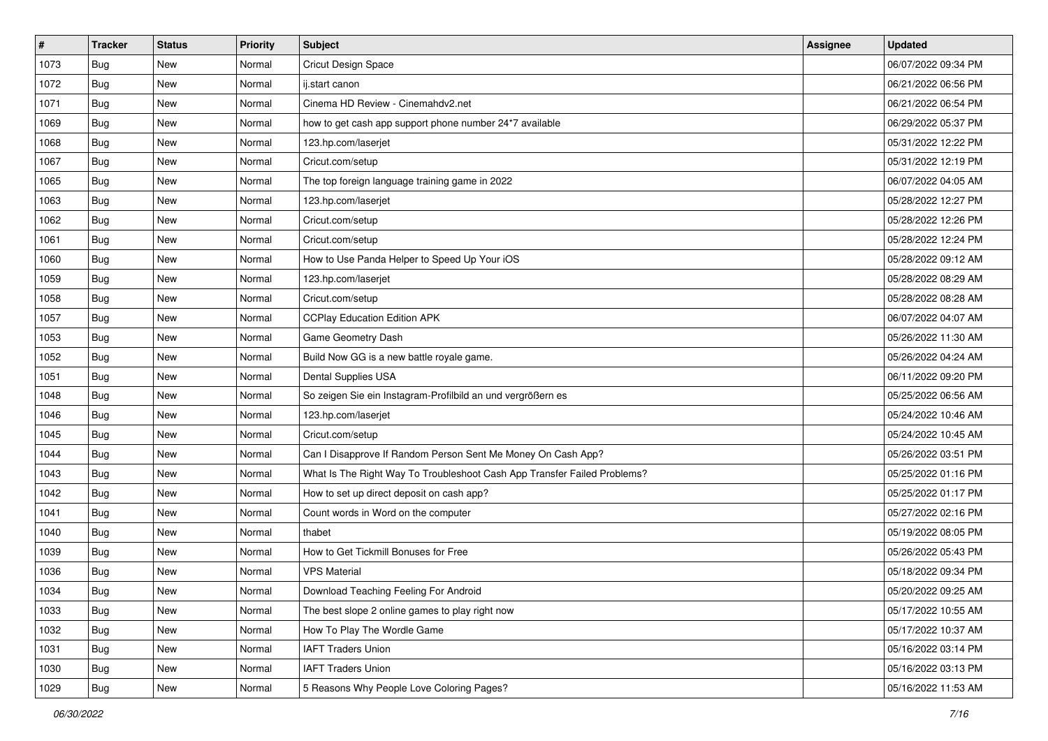| #    | <b>Tracker</b> | <b>Status</b> | <b>Priority</b> | <b>Subject</b>                                                           | Assignee | <b>Updated</b>      |
|------|----------------|---------------|-----------------|--------------------------------------------------------------------------|----------|---------------------|
| 1073 | Bug            | New           | Normal          | <b>Cricut Design Space</b>                                               |          | 06/07/2022 09:34 PM |
| 1072 | Bug            | New           | Normal          | ij.start canon                                                           |          | 06/21/2022 06:56 PM |
| 1071 | Bug            | New           | Normal          | Cinema HD Review - Cinemahdv2.net                                        |          | 06/21/2022 06:54 PM |
| 1069 | Bug            | <b>New</b>    | Normal          | how to get cash app support phone number 24*7 available                  |          | 06/29/2022 05:37 PM |
| 1068 | <b>Bug</b>     | <b>New</b>    | Normal          | 123.hp.com/laserjet                                                      |          | 05/31/2022 12:22 PM |
| 1067 | Bug            | New           | Normal          | Cricut.com/setup                                                         |          | 05/31/2022 12:19 PM |
| 1065 | Bug            | New           | Normal          | The top foreign language training game in 2022                           |          | 06/07/2022 04:05 AM |
| 1063 | Bug            | New           | Normal          | 123.hp.com/laserjet                                                      |          | 05/28/2022 12:27 PM |
| 1062 | Bug            | New           | Normal          | Cricut.com/setup                                                         |          | 05/28/2022 12:26 PM |
| 1061 | Bug            | New           | Normal          | Cricut.com/setup                                                         |          | 05/28/2022 12:24 PM |
| 1060 | Bug            | New           | Normal          | How to Use Panda Helper to Speed Up Your iOS                             |          | 05/28/2022 09:12 AM |
| 1059 | Bug            | New           | Normal          | 123.hp.com/laserjet                                                      |          | 05/28/2022 08:29 AM |
| 1058 | Bug            | New           | Normal          | Cricut.com/setup                                                         |          | 05/28/2022 08:28 AM |
| 1057 | Bug            | <b>New</b>    | Normal          | <b>CCPlay Education Edition APK</b>                                      |          | 06/07/2022 04:07 AM |
| 1053 | <b>Bug</b>     | New           | Normal          | Game Geometry Dash                                                       |          | 05/26/2022 11:30 AM |
| 1052 | Bug            | New           | Normal          | Build Now GG is a new battle royale game.                                |          | 05/26/2022 04:24 AM |
| 1051 | Bug            | New           | Normal          | Dental Supplies USA                                                      |          | 06/11/2022 09:20 PM |
| 1048 | Bug            | <b>New</b>    | Normal          | So zeigen Sie ein Instagram-Profilbild an und vergrößern es              |          | 05/25/2022 06:56 AM |
| 1046 | Bug            | New           | Normal          | 123.hp.com/laserjet                                                      |          | 05/24/2022 10:46 AM |
| 1045 | Bug            | <b>New</b>    | Normal          | Cricut.com/setup                                                         |          | 05/24/2022 10:45 AM |
| 1044 | <b>Bug</b>     | New           | Normal          | Can I Disapprove If Random Person Sent Me Money On Cash App?             |          | 05/26/2022 03:51 PM |
| 1043 | Bug            | New           | Normal          | What Is The Right Way To Troubleshoot Cash App Transfer Failed Problems? |          | 05/25/2022 01:16 PM |
| 1042 | Bug            | <b>New</b>    | Normal          | How to set up direct deposit on cash app?                                |          | 05/25/2022 01:17 PM |
| 1041 | Bug            | New           | Normal          | Count words in Word on the computer                                      |          | 05/27/2022 02:16 PM |
| 1040 | Bug            | New           | Normal          | thabet                                                                   |          | 05/19/2022 08:05 PM |
| 1039 | Bug            | New           | Normal          | How to Get Tickmill Bonuses for Free                                     |          | 05/26/2022 05:43 PM |
| 1036 | Bug            | New           | Normal          | <b>VPS Material</b>                                                      |          | 05/18/2022 09:34 PM |
| 1034 | Bug            | New           | Normal          | Download Teaching Feeling For Android                                    |          | 05/20/2022 09:25 AM |
| 1033 | Bug            | New           | Normal          | The best slope 2 online games to play right now                          |          | 05/17/2022 10:55 AM |
| 1032 | <b>Bug</b>     | New           | Normal          | How To Play The Wordle Game                                              |          | 05/17/2022 10:37 AM |
| 1031 | Bug            | New           | Normal          | <b>IAFT Traders Union</b>                                                |          | 05/16/2022 03:14 PM |
| 1030 | Bug            | New           | Normal          | <b>IAFT Traders Union</b>                                                |          | 05/16/2022 03:13 PM |
| 1029 | <b>Bug</b>     | New           | Normal          | 5 Reasons Why People Love Coloring Pages?                                |          | 05/16/2022 11:53 AM |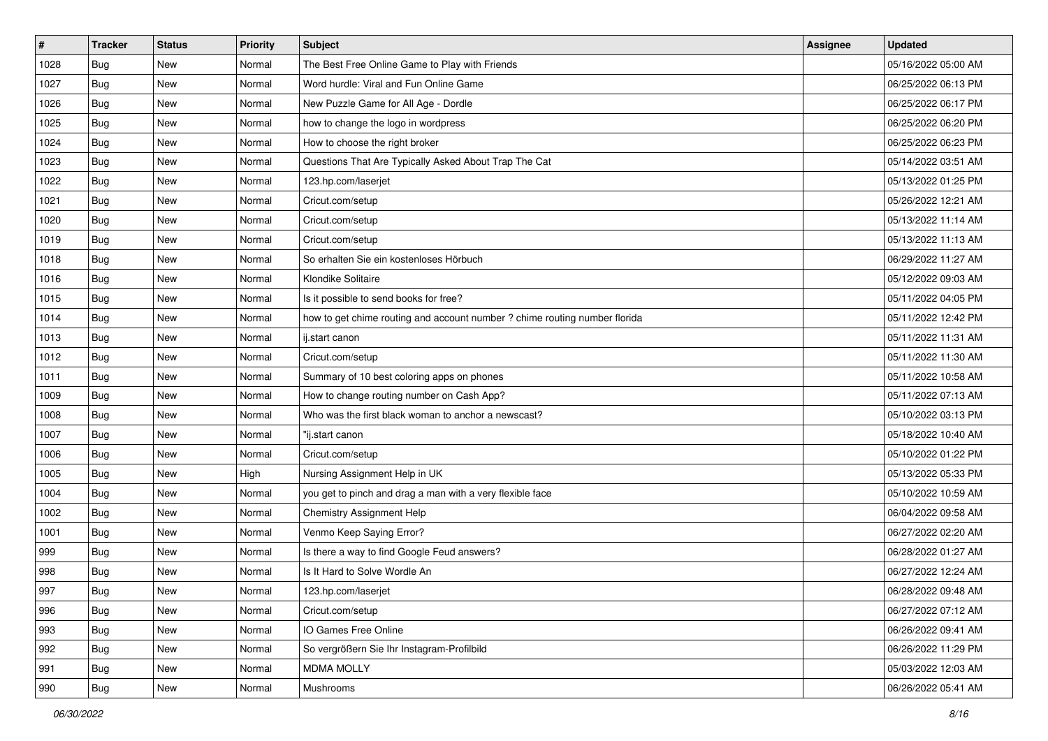| $\pmb{\#}$ | <b>Tracker</b> | <b>Status</b> | <b>Priority</b> | <b>Subject</b>                                                             | Assignee | <b>Updated</b>      |
|------------|----------------|---------------|-----------------|----------------------------------------------------------------------------|----------|---------------------|
| 1028       | Bug            | New           | Normal          | The Best Free Online Game to Play with Friends                             |          | 05/16/2022 05:00 AM |
| 1027       | Bug            | <b>New</b>    | Normal          | Word hurdle: Viral and Fun Online Game                                     |          | 06/25/2022 06:13 PM |
| 1026       | Bug            | New           | Normal          | New Puzzle Game for All Age - Dordle                                       |          | 06/25/2022 06:17 PM |
| 1025       | Bug            | New           | Normal          | how to change the logo in wordpress                                        |          | 06/25/2022 06:20 PM |
| 1024       | Bug            | <b>New</b>    | Normal          | How to choose the right broker                                             |          | 06/25/2022 06:23 PM |
| 1023       | Bug            | New           | Normal          | Questions That Are Typically Asked About Trap The Cat                      |          | 05/14/2022 03:51 AM |
| 1022       | Bug            | New           | Normal          | 123.hp.com/laserjet                                                        |          | 05/13/2022 01:25 PM |
| 1021       | Bug            | New           | Normal          | Cricut.com/setup                                                           |          | 05/26/2022 12:21 AM |
| 1020       | Bug            | New           | Normal          | Cricut.com/setup                                                           |          | 05/13/2022 11:14 AM |
| 1019       | Bug            | <b>New</b>    | Normal          | Cricut.com/setup                                                           |          | 05/13/2022 11:13 AM |
| 1018       | Bug            | New           | Normal          | So erhalten Sie ein kostenloses Hörbuch                                    |          | 06/29/2022 11:27 AM |
| 1016       | Bug            | <b>New</b>    | Normal          | Klondike Solitaire                                                         |          | 05/12/2022 09:03 AM |
| 1015       | Bug            | New           | Normal          | Is it possible to send books for free?                                     |          | 05/11/2022 04:05 PM |
| 1014       | Bug            | New           | Normal          | how to get chime routing and account number ? chime routing number florida |          | 05/11/2022 12:42 PM |
| 1013       | Bug            | <b>New</b>    | Normal          | ij.start canon                                                             |          | 05/11/2022 11:31 AM |
| 1012       | Bug            | New           | Normal          | Cricut.com/setup                                                           |          | 05/11/2022 11:30 AM |
| 1011       | Bug            | New           | Normal          | Summary of 10 best coloring apps on phones                                 |          | 05/11/2022 10:58 AM |
| 1009       | Bug            | <b>New</b>    | Normal          | How to change routing number on Cash App?                                  |          | 05/11/2022 07:13 AM |
| 1008       | Bug            | New           | Normal          | Who was the first black woman to anchor a newscast?                        |          | 05/10/2022 03:13 PM |
| 1007       | Bug            | <b>New</b>    | Normal          | "ij.start canon                                                            |          | 05/18/2022 10:40 AM |
| 1006       | Bug            | New           | Normal          | Cricut.com/setup                                                           |          | 05/10/2022 01:22 PM |
| 1005       | Bug            | New           | High            | Nursing Assignment Help in UK                                              |          | 05/13/2022 05:33 PM |
| 1004       | Bug            | <b>New</b>    | Normal          | you get to pinch and drag a man with a very flexible face                  |          | 05/10/2022 10:59 AM |
| 1002       | Bug            | New           | Normal          | Chemistry Assignment Help                                                  |          | 06/04/2022 09:58 AM |
| 1001       | Bug            | New           | Normal          | Venmo Keep Saying Error?                                                   |          | 06/27/2022 02:20 AM |
| 999        | Bug            | New           | Normal          | Is there a way to find Google Feud answers?                                |          | 06/28/2022 01:27 AM |
| 998        | Bug            | New           | Normal          | Is It Hard to Solve Wordle An                                              |          | 06/27/2022 12:24 AM |
| 997        | <b>Bug</b>     | New           | Normal          | 123.hp.com/laserjet                                                        |          | 06/28/2022 09:48 AM |
| 996        | Bug            | New           | Normal          | Cricut.com/setup                                                           |          | 06/27/2022 07:12 AM |
| 993        | Bug            | New           | Normal          | IO Games Free Online                                                       |          | 06/26/2022 09:41 AM |
| 992        | Bug            | New           | Normal          | So vergrößern Sie Ihr Instagram-Profilbild                                 |          | 06/26/2022 11:29 PM |
| 991        | Bug            | New           | Normal          | <b>MDMA MOLLY</b>                                                          |          | 05/03/2022 12:03 AM |
| 990        | <b>Bug</b>     | New           | Normal          | Mushrooms                                                                  |          | 06/26/2022 05:41 AM |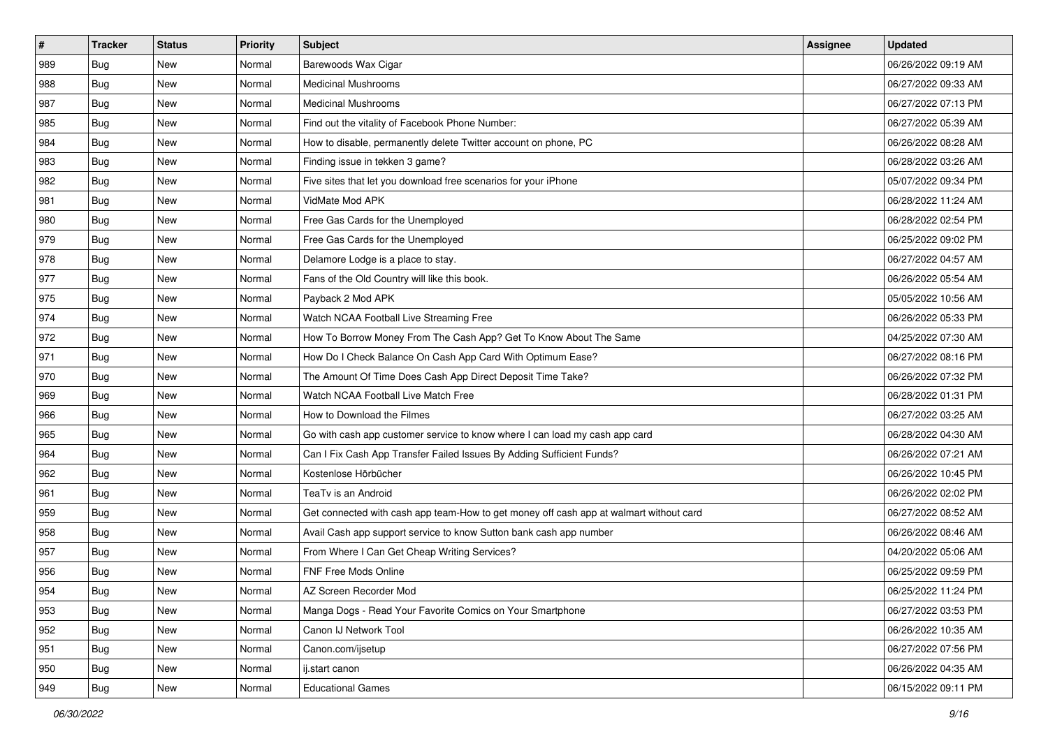| $\sharp$ | <b>Tracker</b> | <b>Status</b> | <b>Priority</b> | Subject                                                                                | Assignee | <b>Updated</b>      |
|----------|----------------|---------------|-----------------|----------------------------------------------------------------------------------------|----------|---------------------|
| 989      | Bug            | New           | Normal          | Barewoods Wax Cigar                                                                    |          | 06/26/2022 09:19 AM |
| 988      | <b>Bug</b>     | New           | Normal          | <b>Medicinal Mushrooms</b>                                                             |          | 06/27/2022 09:33 AM |
| 987      | <b>Bug</b>     | New           | Normal          | <b>Medicinal Mushrooms</b>                                                             |          | 06/27/2022 07:13 PM |
| 985      | Bug            | <b>New</b>    | Normal          | Find out the vitality of Facebook Phone Number:                                        |          | 06/27/2022 05:39 AM |
| 984      | <b>Bug</b>     | New           | Normal          | How to disable, permanently delete Twitter account on phone, PC                        |          | 06/26/2022 08:28 AM |
| 983      | Bug            | New           | Normal          | Finding issue in tekken 3 game?                                                        |          | 06/28/2022 03:26 AM |
| 982      | Bug            | New           | Normal          | Five sites that let you download free scenarios for your iPhone                        |          | 05/07/2022 09:34 PM |
| 981      | Bug            | New           | Normal          | VidMate Mod APK                                                                        |          | 06/28/2022 11:24 AM |
| 980      | Bug            | New           | Normal          | Free Gas Cards for the Unemployed                                                      |          | 06/28/2022 02:54 PM |
| 979      | Bug            | New           | Normal          | Free Gas Cards for the Unemployed                                                      |          | 06/25/2022 09:02 PM |
| 978      | Bug            | New           | Normal          | Delamore Lodge is a place to stay.                                                     |          | 06/27/2022 04:57 AM |
| 977      | Bug            | New           | Normal          | Fans of the Old Country will like this book.                                           |          | 06/26/2022 05:54 AM |
| 975      | Bug            | New           | Normal          | Payback 2 Mod APK                                                                      |          | 05/05/2022 10:56 AM |
| 974      | Bug            | New           | Normal          | Watch NCAA Football Live Streaming Free                                                |          | 06/26/2022 05:33 PM |
| 972      | Bug            | New           | Normal          | How To Borrow Money From The Cash App? Get To Know About The Same                      |          | 04/25/2022 07:30 AM |
| 971      | Bug            | New           | Normal          | How Do I Check Balance On Cash App Card With Optimum Ease?                             |          | 06/27/2022 08:16 PM |
| 970      | Bug            | New           | Normal          | The Amount Of Time Does Cash App Direct Deposit Time Take?                             |          | 06/26/2022 07:32 PM |
| 969      | <b>Bug</b>     | New           | Normal          | Watch NCAA Football Live Match Free                                                    |          | 06/28/2022 01:31 PM |
| 966      | Bug            | New           | Normal          | How to Download the Filmes                                                             |          | 06/27/2022 03:25 AM |
| 965      | Bug            | New           | Normal          | Go with cash app customer service to know where I can load my cash app card            |          | 06/28/2022 04:30 AM |
| 964      | Bug            | New           | Normal          | Can I Fix Cash App Transfer Failed Issues By Adding Sufficient Funds?                  |          | 06/26/2022 07:21 AM |
| 962      | Bug            | New           | Normal          | Kostenlose Hörbücher                                                                   |          | 06/26/2022 10:45 PM |
| 961      | Bug            | New           | Normal          | TeaTv is an Android                                                                    |          | 06/26/2022 02:02 PM |
| 959      | Bug            | New           | Normal          | Get connected with cash app team-How to get money off cash app at walmart without card |          | 06/27/2022 08:52 AM |
| 958      | Bug            | New           | Normal          | Avail Cash app support service to know Sutton bank cash app number                     |          | 06/26/2022 08:46 AM |
| 957      | Bug            | New           | Normal          | From Where I Can Get Cheap Writing Services?                                           |          | 04/20/2022 05:06 AM |
| 956      | Bug            | New           | Normal          | FNF Free Mods Online                                                                   |          | 06/25/2022 09:59 PM |
| 954      | Bug            | New           | Normal          | AZ Screen Recorder Mod                                                                 |          | 06/25/2022 11:24 PM |
| 953      | Bug            | New           | Normal          | Manga Dogs - Read Your Favorite Comics on Your Smartphone                              |          | 06/27/2022 03:53 PM |
| 952      | Bug            | New           | Normal          | Canon IJ Network Tool                                                                  |          | 06/26/2022 10:35 AM |
| 951      | <b>Bug</b>     | New           | Normal          | Canon.com/ijsetup                                                                      |          | 06/27/2022 07:56 PM |
| 950      | Bug            | New           | Normal          | ij.start canon                                                                         |          | 06/26/2022 04:35 AM |
| 949      | <b>Bug</b>     | New           | Normal          | <b>Educational Games</b>                                                               |          | 06/15/2022 09:11 PM |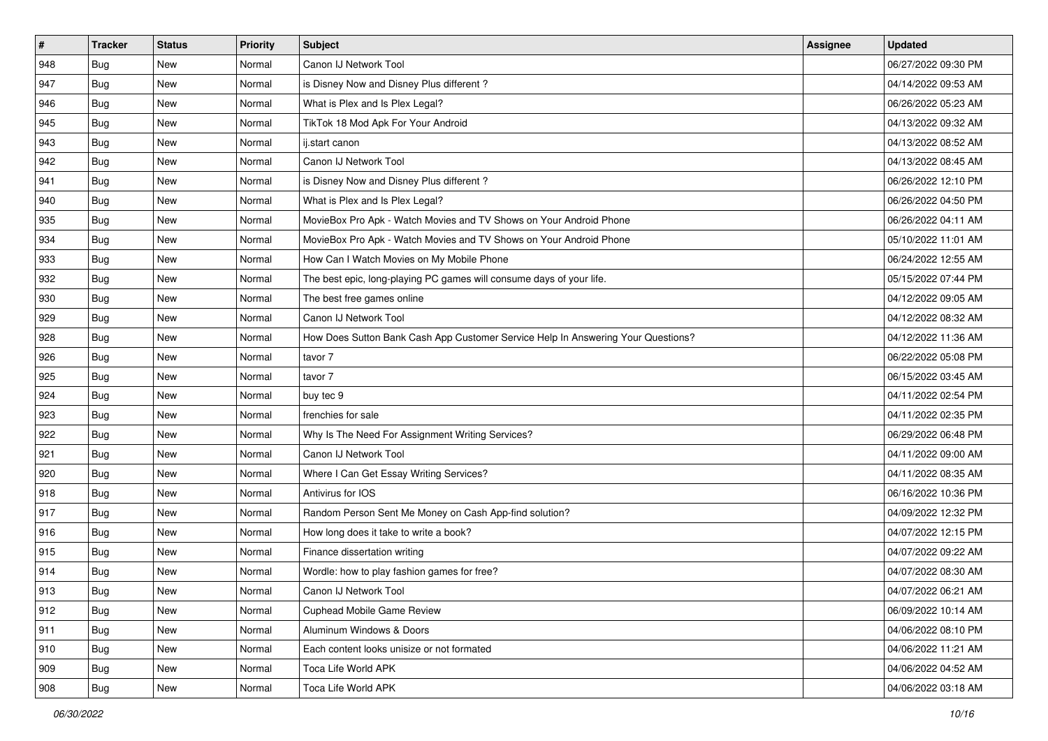| #             | <b>Tracker</b> | <b>Status</b> | <b>Priority</b> | Subject                                                                          | <b>Assignee</b> | <b>Updated</b>      |
|---------------|----------------|---------------|-----------------|----------------------------------------------------------------------------------|-----------------|---------------------|
| 948           | Bug            | New           | Normal          | Canon IJ Network Tool                                                            |                 | 06/27/2022 09:30 PM |
| 947           | Bug            | <b>New</b>    | Normal          | is Disney Now and Disney Plus different?                                         |                 | 04/14/2022 09:53 AM |
| 946           | Bug            | New           | Normal          | What is Plex and Is Plex Legal?                                                  |                 | 06/26/2022 05:23 AM |
| 945           | <b>Bug</b>     | <b>New</b>    | Normal          | TikTok 18 Mod Apk For Your Android                                               |                 | 04/13/2022 09:32 AM |
| 943           | Bug            | <b>New</b>    | Normal          | ij.start canon                                                                   |                 | 04/13/2022 08:52 AM |
| 942           | Bug            | <b>New</b>    | Normal          | Canon IJ Network Tool                                                            |                 | 04/13/2022 08:45 AM |
| 941           | <b>Bug</b>     | <b>New</b>    | Normal          | is Disney Now and Disney Plus different?                                         |                 | 06/26/2022 12:10 PM |
| 940           | Bug            | <b>New</b>    | Normal          | What is Plex and Is Plex Legal?                                                  |                 | 06/26/2022 04:50 PM |
| 935           | <b>Bug</b>     | <b>New</b>    | Normal          | MovieBox Pro Apk - Watch Movies and TV Shows on Your Android Phone               |                 | 06/26/2022 04:11 AM |
| 934           | Bug            | <b>New</b>    | Normal          | MovieBox Pro Apk - Watch Movies and TV Shows on Your Android Phone               |                 | 05/10/2022 11:01 AM |
| 933           | Bug            | New           | Normal          | How Can I Watch Movies on My Mobile Phone                                        |                 | 06/24/2022 12:55 AM |
| 932           | Bug            | <b>New</b>    | Normal          | The best epic, long-playing PC games will consume days of your life.             |                 | 05/15/2022 07:44 PM |
| 930           | Bug            | <b>New</b>    | Normal          | The best free games online                                                       |                 | 04/12/2022 09:05 AM |
| 929           | <b>Bug</b>     | <b>New</b>    | Normal          | Canon IJ Network Tool                                                            |                 | 04/12/2022 08:32 AM |
| 928           | <b>Bug</b>     | <b>New</b>    | Normal          | How Does Sutton Bank Cash App Customer Service Help In Answering Your Questions? |                 | 04/12/2022 11:36 AM |
| 926           | Bug            | New           | Normal          | tavor 7                                                                          |                 | 06/22/2022 05:08 PM |
| 925           | <b>Bug</b>     | <b>New</b>    | Normal          | tavor 7                                                                          |                 | 06/15/2022 03:45 AM |
| 924           | Bug            | <b>New</b>    | Normal          | buy tec 9                                                                        |                 | 04/11/2022 02:54 PM |
| 923           | Bug            | <b>New</b>    | Normal          | frenchies for sale                                                               |                 | 04/11/2022 02:35 PM |
| 922           | <b>Bug</b>     | <b>New</b>    | Normal          | Why Is The Need For Assignment Writing Services?                                 |                 | 06/29/2022 06:48 PM |
| 921           | Bug            | New           | Normal          | Canon IJ Network Tool                                                            |                 | 04/11/2022 09:00 AM |
| 920           | Bug            | <b>New</b>    | Normal          | Where I Can Get Essay Writing Services?                                          |                 | 04/11/2022 08:35 AM |
| 918           | Bug            | <b>New</b>    | Normal          | Antivirus for IOS                                                                |                 | 06/16/2022 10:36 PM |
| 917           | <b>Bug</b>     | <b>New</b>    | Normal          | Random Person Sent Me Money on Cash App-find solution?                           |                 | 04/09/2022 12:32 PM |
| 916           | <b>Bug</b>     | <b>New</b>    | Normal          | How long does it take to write a book?                                           |                 | 04/07/2022 12:15 PM |
| 915           | Bug            | <b>New</b>    | Normal          | Finance dissertation writing                                                     |                 | 04/07/2022 09:22 AM |
| 914           | <b>Bug</b>     | New           | Normal          | Wordle: how to play fashion games for free?                                      |                 | 04/07/2022 08:30 AM |
| 913           | <b>Bug</b>     | New           | Normal          | Canon IJ Network Tool                                                            |                 | 04/07/2022 06:21 AM |
| $ 912\rangle$ | Bug            | New           | Normal          | <b>Cuphead Mobile Game Review</b>                                                |                 | 06/09/2022 10:14 AM |
| 911           | Bug            | New           | Normal          | Aluminum Windows & Doors                                                         |                 | 04/06/2022 08:10 PM |
| 910           | Bug            | New           | Normal          | Each content looks unisize or not formated                                       |                 | 04/06/2022 11:21 AM |
| 909           | Bug            | New           | Normal          | Toca Life World APK                                                              |                 | 04/06/2022 04:52 AM |
| 908           | <b>Bug</b>     | New           | Normal          | Toca Life World APK                                                              |                 | 04/06/2022 03:18 AM |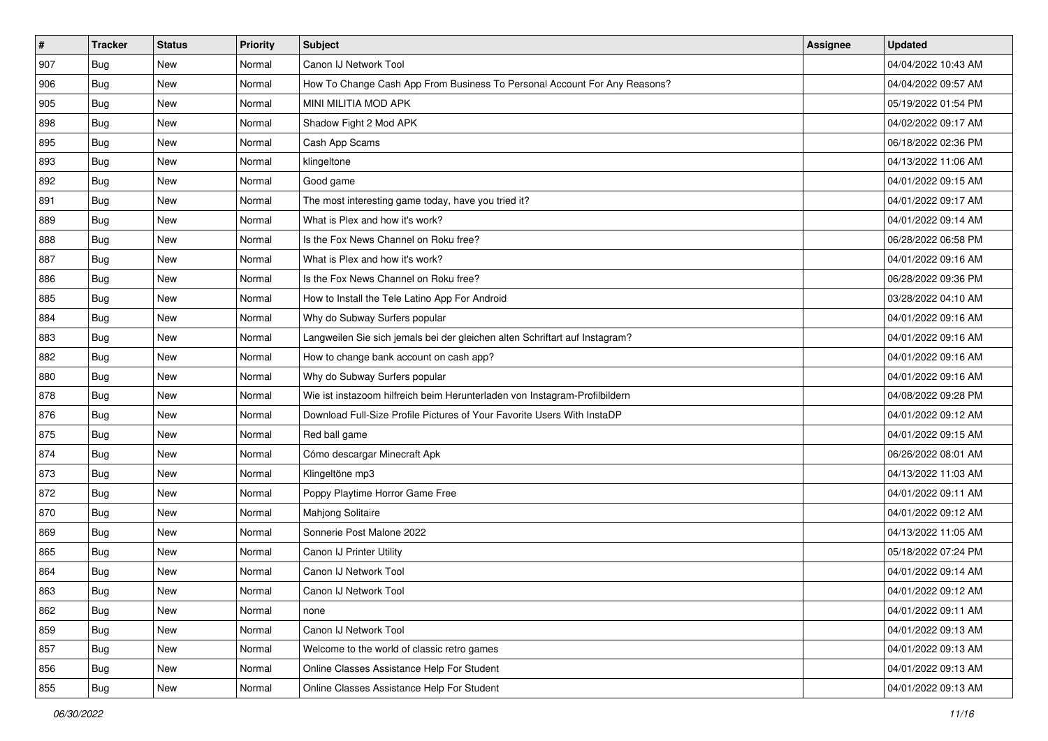| #   | <b>Tracker</b> | <b>Status</b> | <b>Priority</b> | <b>Subject</b>                                                              | <b>Assignee</b> | <b>Updated</b>      |
|-----|----------------|---------------|-----------------|-----------------------------------------------------------------------------|-----------------|---------------------|
| 907 | Bug            | New           | Normal          | Canon IJ Network Tool                                                       |                 | 04/04/2022 10:43 AM |
| 906 | Bug            | <b>New</b>    | Normal          | How To Change Cash App From Business To Personal Account For Any Reasons?   |                 | 04/04/2022 09:57 AM |
| 905 | Bug            | <b>New</b>    | Normal          | MINI MILITIA MOD APK                                                        |                 | 05/19/2022 01:54 PM |
| 898 | <b>Bug</b>     | <b>New</b>    | Normal          | Shadow Fight 2 Mod APK                                                      |                 | 04/02/2022 09:17 AM |
| 895 | <b>Bug</b>     | <b>New</b>    | Normal          | Cash App Scams                                                              |                 | 06/18/2022 02:36 PM |
| 893 | Bug            | New           | Normal          | klingeltone                                                                 |                 | 04/13/2022 11:06 AM |
| 892 | <b>Bug</b>     | <b>New</b>    | Normal          | Good game                                                                   |                 | 04/01/2022 09:15 AM |
| 891 | Bug            | <b>New</b>    | Normal          | The most interesting game today, have you tried it?                         |                 | 04/01/2022 09:17 AM |
| 889 | <b>Bug</b>     | <b>New</b>    | Normal          | What is Plex and how it's work?                                             |                 | 04/01/2022 09:14 AM |
| 888 | Bug            | <b>New</b>    | Normal          | Is the Fox News Channel on Roku free?                                       |                 | 06/28/2022 06:58 PM |
| 887 | Bug            | New           | Normal          | What is Plex and how it's work?                                             |                 | 04/01/2022 09:16 AM |
| 886 | Bug            | <b>New</b>    | Normal          | Is the Fox News Channel on Roku free?                                       |                 | 06/28/2022 09:36 PM |
| 885 | Bug            | <b>New</b>    | Normal          | How to Install the Tele Latino App For Android                              |                 | 03/28/2022 04:10 AM |
| 884 | <b>Bug</b>     | <b>New</b>    | Normal          | Why do Subway Surfers popular                                               |                 | 04/01/2022 09:16 AM |
| 883 | <b>Bug</b>     | <b>New</b>    | Normal          | Langweilen Sie sich jemals bei der gleichen alten Schriftart auf Instagram? |                 | 04/01/2022 09:16 AM |
| 882 | Bug            | <b>New</b>    | Normal          | How to change bank account on cash app?                                     |                 | 04/01/2022 09:16 AM |
| 880 | <b>Bug</b>     | <b>New</b>    | Normal          | Why do Subway Surfers popular                                               |                 | 04/01/2022 09:16 AM |
| 878 | <b>Bug</b>     | <b>New</b>    | Normal          | Wie ist instazoom hilfreich beim Herunterladen von Instagram-Profilbildern  |                 | 04/08/2022 09:28 PM |
| 876 | Bug            | New           | Normal          | Download Full-Size Profile Pictures of Your Favorite Users With InstaDP     |                 | 04/01/2022 09:12 AM |
| 875 | <b>Bug</b>     | <b>New</b>    | Normal          | Red ball game                                                               |                 | 04/01/2022 09:15 AM |
| 874 | Bug            | <b>New</b>    | Normal          | Cómo descargar Minecraft Apk                                                |                 | 06/26/2022 08:01 AM |
| 873 | <b>Bug</b>     | <b>New</b>    | Normal          | Klingeltöne mp3                                                             |                 | 04/13/2022 11:03 AM |
| 872 | <b>Bug</b>     | <b>New</b>    | Normal          | Poppy Playtime Horror Game Free                                             |                 | 04/01/2022 09:11 AM |
| 870 | Bug            | New           | Normal          | <b>Mahjong Solitaire</b>                                                    |                 | 04/01/2022 09:12 AM |
| 869 | Bug            | <b>New</b>    | Normal          | Sonnerie Post Malone 2022                                                   |                 | 04/13/2022 11:05 AM |
| 865 | <b>Bug</b>     | <b>New</b>    | Normal          | Canon IJ Printer Utility                                                    |                 | 05/18/2022 07:24 PM |
| 864 | <b>Bug</b>     | <b>New</b>    | Normal          | Canon IJ Network Tool                                                       |                 | 04/01/2022 09:14 AM |
| 863 | <b>Bug</b>     | New           | Normal          | Canon IJ Network Tool                                                       |                 | 04/01/2022 09:12 AM |
| 862 | Bug            | New           | Normal          | none                                                                        |                 | 04/01/2022 09:11 AM |
| 859 | Bug            | New           | Normal          | Canon IJ Network Tool                                                       |                 | 04/01/2022 09:13 AM |
| 857 | Bug            | New           | Normal          | Welcome to the world of classic retro games                                 |                 | 04/01/2022 09:13 AM |
| 856 | Bug            | New           | Normal          | Online Classes Assistance Help For Student                                  |                 | 04/01/2022 09:13 AM |
| 855 | <b>Bug</b>     | New           | Normal          | Online Classes Assistance Help For Student                                  |                 | 04/01/2022 09:13 AM |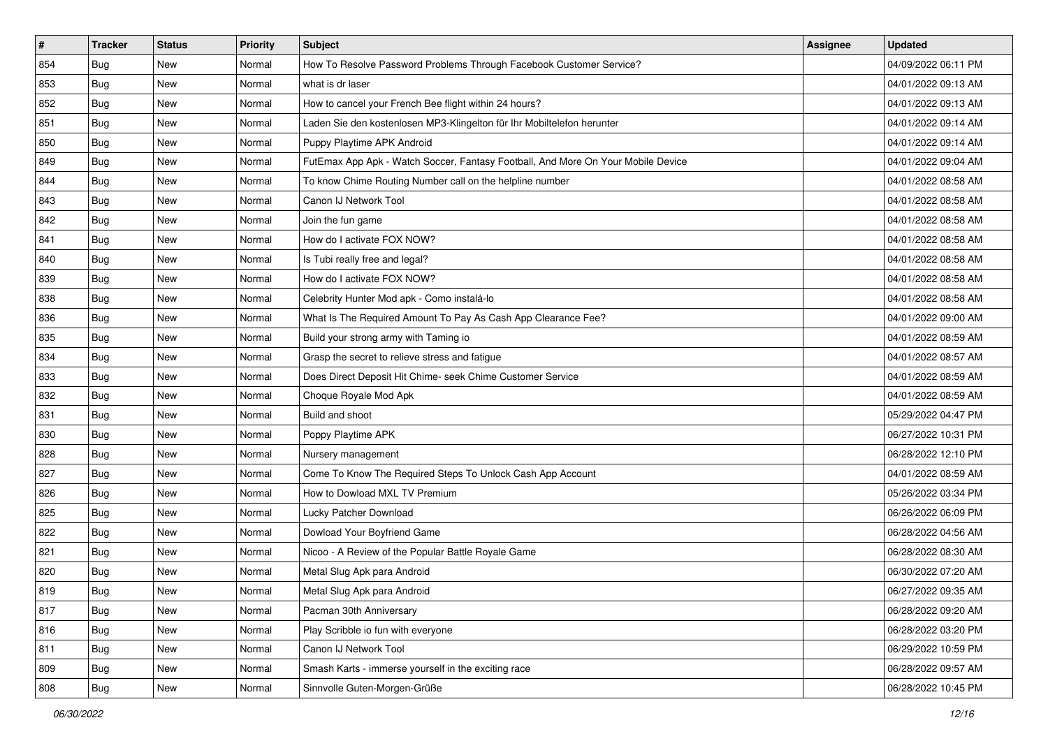| #   | <b>Tracker</b> | <b>Status</b> | <b>Priority</b> | <b>Subject</b>                                                                   | Assignee | <b>Updated</b>      |
|-----|----------------|---------------|-----------------|----------------------------------------------------------------------------------|----------|---------------------|
| 854 | Bug            | New           | Normal          | How To Resolve Password Problems Through Facebook Customer Service?              |          | 04/09/2022 06:11 PM |
| 853 | Bug            | <b>New</b>    | Normal          | what is dr laser                                                                 |          | 04/01/2022 09:13 AM |
| 852 | Bug            | New           | Normal          | How to cancel your French Bee flight within 24 hours?                            |          | 04/01/2022 09:13 AM |
| 851 | Bug            | <b>New</b>    | Normal          | Laden Sie den kostenlosen MP3-Klingelton für Ihr Mobiltelefon herunter           |          | 04/01/2022 09:14 AM |
| 850 | Bug            | <b>New</b>    | Normal          | Puppy Playtime APK Android                                                       |          | 04/01/2022 09:14 AM |
| 849 | Bug            | New           | Normal          | FutEmax App Apk - Watch Soccer, Fantasy Football, And More On Your Mobile Device |          | 04/01/2022 09:04 AM |
| 844 | Bug            | <b>New</b>    | Normal          | To know Chime Routing Number call on the helpline number                         |          | 04/01/2022 08:58 AM |
| 843 | Bug            | <b>New</b>    | Normal          | Canon IJ Network Tool                                                            |          | 04/01/2022 08:58 AM |
| 842 | Bug            | New           | Normal          | Join the fun game                                                                |          | 04/01/2022 08:58 AM |
| 841 | Bug            | <b>New</b>    | Normal          | How do I activate FOX NOW?                                                       |          | 04/01/2022 08:58 AM |
| 840 | Bug            | New           | Normal          | Is Tubi really free and legal?                                                   |          | 04/01/2022 08:58 AM |
| 839 | Bug            | <b>New</b>    | Normal          | How do I activate FOX NOW?                                                       |          | 04/01/2022 08:58 AM |
| 838 | Bug            | <b>New</b>    | Normal          | Celebrity Hunter Mod apk - Como instalá-lo                                       |          | 04/01/2022 08:58 AM |
| 836 | Bug            | <b>New</b>    | Normal          | What Is The Required Amount To Pay As Cash App Clearance Fee?                    |          | 04/01/2022 09:00 AM |
| 835 | Bug            | <b>New</b>    | Normal          | Build your strong army with Taming io                                            |          | 04/01/2022 08:59 AM |
| 834 | Bug            | New           | Normal          | Grasp the secret to relieve stress and fatigue                                   |          | 04/01/2022 08:57 AM |
| 833 | Bug            | <b>New</b>    | Normal          | Does Direct Deposit Hit Chime- seek Chime Customer Service                       |          | 04/01/2022 08:59 AM |
| 832 | Bug            | <b>New</b>    | Normal          | Choque Royale Mod Apk                                                            |          | 04/01/2022 08:59 AM |
| 831 | Bug            | New           | Normal          | Build and shoot                                                                  |          | 05/29/2022 04:47 PM |
| 830 | Bug            | <b>New</b>    | Normal          | Poppy Playtime APK                                                               |          | 06/27/2022 10:31 PM |
| 828 | Bug            | <b>New</b>    | Normal          | Nursery management                                                               |          | 06/28/2022 12:10 PM |
| 827 | Bug            | New           | Normal          | Come To Know The Required Steps To Unlock Cash App Account                       |          | 04/01/2022 08:59 AM |
| 826 | Bug            | <b>New</b>    | Normal          | How to Dowload MXL TV Premium                                                    |          | 05/26/2022 03:34 PM |
| 825 | Bug            | New           | Normal          | Lucky Patcher Download                                                           |          | 06/26/2022 06:09 PM |
| 822 | Bug            | <b>New</b>    | Normal          | Dowload Your Boyfriend Game                                                      |          | 06/28/2022 04:56 AM |
| 821 | Bug            | <b>New</b>    | Normal          | Nicoo - A Review of the Popular Battle Royale Game                               |          | 06/28/2022 08:30 AM |
| 820 | <b>Bug</b>     | New           | Normal          | Metal Slug Apk para Android                                                      |          | 06/30/2022 07:20 AM |
| 819 | <b>Bug</b>     | New           | Normal          | Metal Slug Apk para Android                                                      |          | 06/27/2022 09:35 AM |
| 817 | Bug            | New           | Normal          | Pacman 30th Anniversary                                                          |          | 06/28/2022 09:20 AM |
| 816 | Bug            | New           | Normal          | Play Scribble io fun with everyone                                               |          | 06/28/2022 03:20 PM |
| 811 | Bug            | New           | Normal          | Canon IJ Network Tool                                                            |          | 06/29/2022 10:59 PM |
| 809 | Bug            | New           | Normal          | Smash Karts - immerse yourself in the exciting race                              |          | 06/28/2022 09:57 AM |
| 808 | <b>Bug</b>     | New           | Normal          | Sinnvolle Guten-Morgen-Grüße                                                     |          | 06/28/2022 10:45 PM |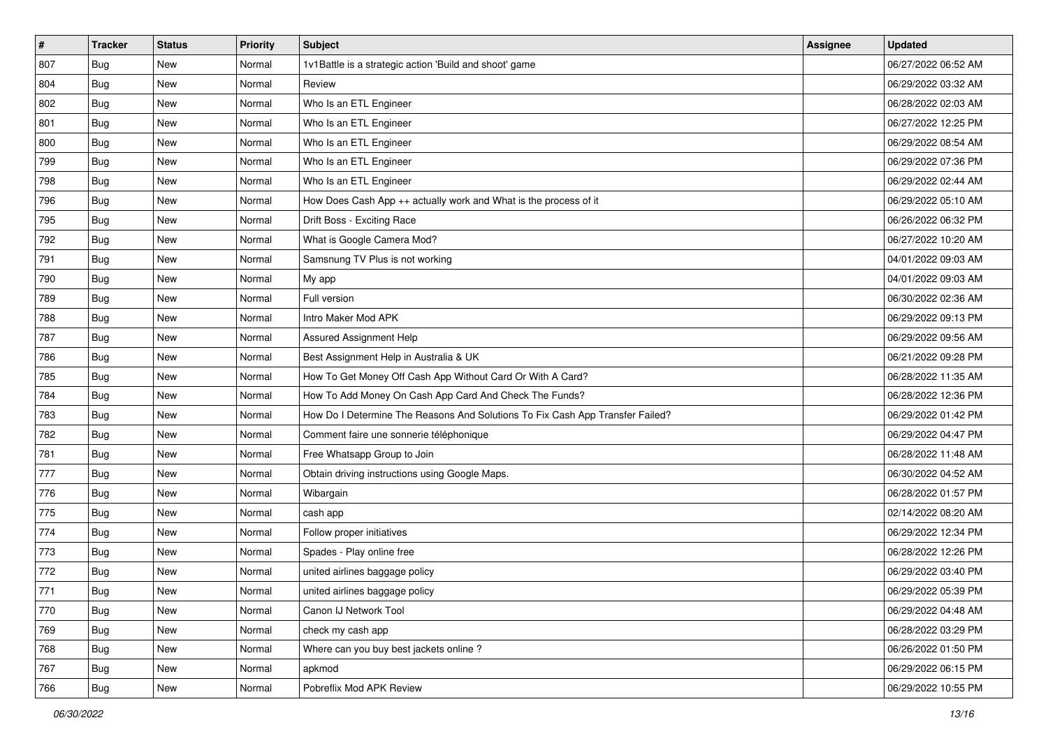| $\sharp$ | <b>Tracker</b> | <b>Status</b> | <b>Priority</b> | <b>Subject</b>                                                                | Assignee | <b>Updated</b>      |
|----------|----------------|---------------|-----------------|-------------------------------------------------------------------------------|----------|---------------------|
| 807      | Bug            | New           | Normal          | 1v1Battle is a strategic action 'Build and shoot' game                        |          | 06/27/2022 06:52 AM |
| 804      | Bug            | New           | Normal          | Review                                                                        |          | 06/29/2022 03:32 AM |
| 802      | Bug            | New           | Normal          | Who Is an ETL Engineer                                                        |          | 06/28/2022 02:03 AM |
| 801      | Bug            | New           | Normal          | Who Is an ETL Engineer                                                        |          | 06/27/2022 12:25 PM |
| 800      | <b>Bug</b>     | <b>New</b>    | Normal          | Who Is an ETL Engineer                                                        |          | 06/29/2022 08:54 AM |
| 799      | Bug            | New           | Normal          | Who Is an ETL Engineer                                                        |          | 06/29/2022 07:36 PM |
| 798      | Bug            | New           | Normal          | Who Is an ETL Engineer                                                        |          | 06/29/2022 02:44 AM |
| 796      | <b>Bug</b>     | New           | Normal          | How Does Cash App ++ actually work and What is the process of it              |          | 06/29/2022 05:10 AM |
| 795      | Bug            | New           | Normal          | Drift Boss - Exciting Race                                                    |          | 06/26/2022 06:32 PM |
| 792      | Bug            | New           | Normal          | What is Google Camera Mod?                                                    |          | 06/27/2022 10:20 AM |
| 791      | Bug            | New           | Normal          | Samsnung TV Plus is not working                                               |          | 04/01/2022 09:03 AM |
| 790      | Bug            | New           | Normal          | My app                                                                        |          | 04/01/2022 09:03 AM |
| 789      | Bug            | <b>New</b>    | Normal          | Full version                                                                  |          | 06/30/2022 02:36 AM |
| 788      | Bug            | <b>New</b>    | Normal          | Intro Maker Mod APK                                                           |          | 06/29/2022 09:13 PM |
| 787      | Bug            | New           | Normal          | Assured Assignment Help                                                       |          | 06/29/2022 09:56 AM |
| 786      | Bug            | New           | Normal          | Best Assignment Help in Australia & UK                                        |          | 06/21/2022 09:28 PM |
| 785      | Bug            | New           | Normal          | How To Get Money Off Cash App Without Card Or With A Card?                    |          | 06/28/2022 11:35 AM |
| 784      | Bug            | <b>New</b>    | Normal          | How To Add Money On Cash App Card And Check The Funds?                        |          | 06/28/2022 12:36 PM |
| 783      | Bug            | New           | Normal          | How Do I Determine The Reasons And Solutions To Fix Cash App Transfer Failed? |          | 06/29/2022 01:42 PM |
| 782      | Bug            | <b>New</b>    | Normal          | Comment faire une sonnerie téléphonique                                       |          | 06/29/2022 04:47 PM |
| 781      | <b>Bug</b>     | New           | Normal          | Free Whatsapp Group to Join                                                   |          | 06/28/2022 11:48 AM |
| 777      | Bug            | New           | Normal          | Obtain driving instructions using Google Maps.                                |          | 06/30/2022 04:52 AM |
| 776      | Bug            | <b>New</b>    | Normal          | Wibargain                                                                     |          | 06/28/2022 01:57 PM |
| 775      | Bug            | New           | Normal          | cash app                                                                      |          | 02/14/2022 08:20 AM |
| 774      | Bug            | New           | Normal          | Follow proper initiatives                                                     |          | 06/29/2022 12:34 PM |
| 773      | Bug            | New           | Normal          | Spades - Play online free                                                     |          | 06/28/2022 12:26 PM |
| 772      | <b>Bug</b>     | New           | Normal          | united airlines baggage policy                                                |          | 06/29/2022 03:40 PM |
| 771      | <b>Bug</b>     | New           | Normal          | united airlines baggage policy                                                |          | 06/29/2022 05:39 PM |
| 770      | Bug            | New           | Normal          | Canon IJ Network Tool                                                         |          | 06/29/2022 04:48 AM |
| 769      | <b>Bug</b>     | New           | Normal          | check my cash app                                                             |          | 06/28/2022 03:29 PM |
| 768      | Bug            | New           | Normal          | Where can you buy best jackets online?                                        |          | 06/26/2022 01:50 PM |
| 767      | Bug            | New           | Normal          | apkmod                                                                        |          | 06/29/2022 06:15 PM |
| 766      | <b>Bug</b>     | New           | Normal          | Pobreflix Mod APK Review                                                      |          | 06/29/2022 10:55 PM |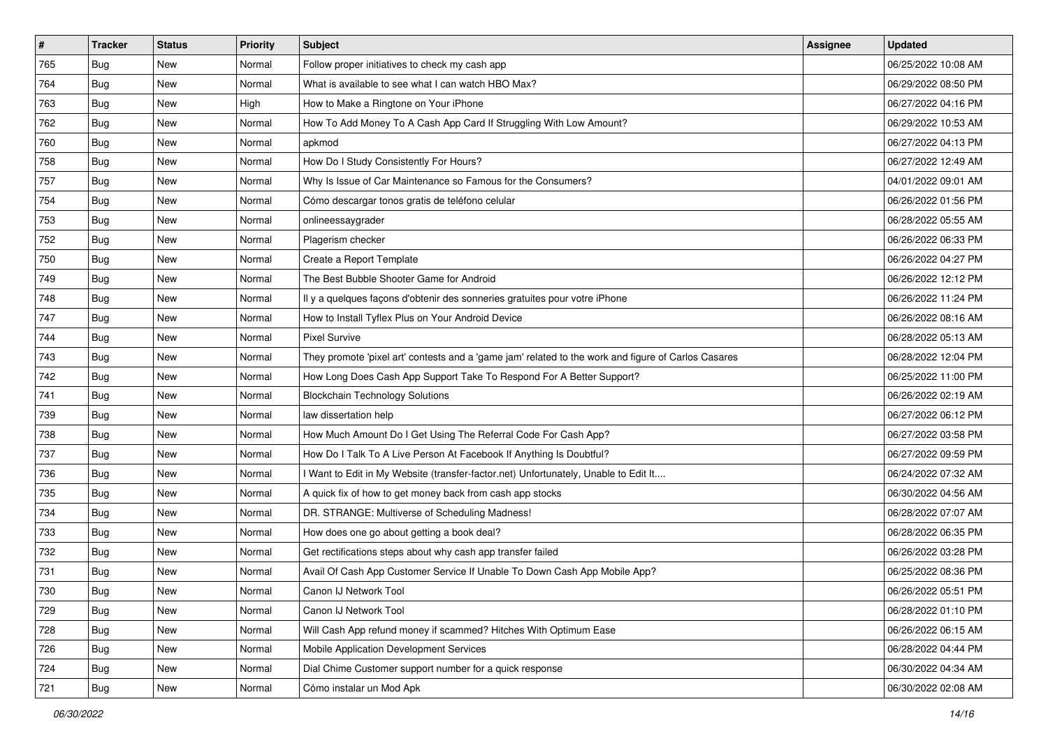| $\pmb{\#}$ | <b>Tracker</b> | <b>Status</b> | <b>Priority</b> | Subject                                                                                             | <b>Assignee</b> | <b>Updated</b>      |
|------------|----------------|---------------|-----------------|-----------------------------------------------------------------------------------------------------|-----------------|---------------------|
| 765        | Bug            | New           | Normal          | Follow proper initiatives to check my cash app                                                      |                 | 06/25/2022 10:08 AM |
| 764        | Bug            | <b>New</b>    | Normal          | What is available to see what I can watch HBO Max?                                                  |                 | 06/29/2022 08:50 PM |
| 763        | Bug            | New           | High            | How to Make a Ringtone on Your iPhone                                                               |                 | 06/27/2022 04:16 PM |
| 762        | Bug            | New           | Normal          | How To Add Money To A Cash App Card If Struggling With Low Amount?                                  |                 | 06/29/2022 10:53 AM |
| 760        | Bug            | New           | Normal          | apkmod                                                                                              |                 | 06/27/2022 04:13 PM |
| 758        | Bug            | New           | Normal          | How Do I Study Consistently For Hours?                                                              |                 | 06/27/2022 12:49 AM |
| 757        | Bug            | New           | Normal          | Why Is Issue of Car Maintenance so Famous for the Consumers?                                        |                 | 04/01/2022 09:01 AM |
| 754        | Bug            | New           | Normal          | Cómo descargar tonos gratis de teléfono celular                                                     |                 | 06/26/2022 01:56 PM |
| 753        | Bug            | New           | Normal          | onlineessaygrader                                                                                   |                 | 06/28/2022 05:55 AM |
| 752        | Bug            | <b>New</b>    | Normal          | Plagerism checker                                                                                   |                 | 06/26/2022 06:33 PM |
| 750        | Bug            | New           | Normal          | Create a Report Template                                                                            |                 | 06/26/2022 04:27 PM |
| 749        | Bug            | New           | Normal          | The Best Bubble Shooter Game for Android                                                            |                 | 06/26/2022 12:12 PM |
| 748        | Bug            | New           | Normal          | Il y a quelques façons d'obtenir des sonneries gratuites pour votre iPhone                          |                 | 06/26/2022 11:24 PM |
| 747        | Bug            | New           | Normal          | How to Install Tyflex Plus on Your Android Device                                                   |                 | 06/26/2022 08:16 AM |
| 744        | Bug            | New           | Normal          | <b>Pixel Survive</b>                                                                                |                 | 06/28/2022 05:13 AM |
| 743        | Bug            | New           | Normal          | They promote 'pixel art' contests and a 'game jam' related to the work and figure of Carlos Casares |                 | 06/28/2022 12:04 PM |
| 742        | Bug            | New           | Normal          | How Long Does Cash App Support Take To Respond For A Better Support?                                |                 | 06/25/2022 11:00 PM |
| 741        | Bug            | New           | Normal          | <b>Blockchain Technology Solutions</b>                                                              |                 | 06/26/2022 02:19 AM |
| 739        | Bug            | New           | Normal          | law dissertation help                                                                               |                 | 06/27/2022 06:12 PM |
| 738        | Bug            | New           | Normal          | How Much Amount Do I Get Using The Referral Code For Cash App?                                      |                 | 06/27/2022 03:58 PM |
| 737        | Bug            | New           | Normal          | How Do I Talk To A Live Person At Facebook If Anything Is Doubtful?                                 |                 | 06/27/2022 09:59 PM |
| 736        | Bug            | New           | Normal          | Want to Edit in My Website (transfer-factor.net) Unfortunately, Unable to Edit It                   |                 | 06/24/2022 07:32 AM |
| 735        | Bug            | New           | Normal          | A quick fix of how to get money back from cash app stocks                                           |                 | 06/30/2022 04:56 AM |
| 734        | Bug            | New           | Normal          | DR. STRANGE: Multiverse of Scheduling Madness!                                                      |                 | 06/28/2022 07:07 AM |
| 733        | Bug            | New           | Normal          | How does one go about getting a book deal?                                                          |                 | 06/28/2022 06:35 PM |
| 732        | Bug            | New           | Normal          | Get rectifications steps about why cash app transfer failed                                         |                 | 06/26/2022 03:28 PM |
| 731        | Bug            | New           | Normal          | Avail Of Cash App Customer Service If Unable To Down Cash App Mobile App?                           |                 | 06/25/2022 08:36 PM |
| 730        | Bug            | New           | Normal          | Canon IJ Network Tool                                                                               |                 | 06/26/2022 05:51 PM |
| 729        | Bug            | New           | Normal          | Canon IJ Network Tool                                                                               |                 | 06/28/2022 01:10 PM |
| 728        | Bug            | New           | Normal          | Will Cash App refund money if scammed? Hitches With Optimum Ease                                    |                 | 06/26/2022 06:15 AM |
| 726        | Bug            | New           | Normal          | Mobile Application Development Services                                                             |                 | 06/28/2022 04:44 PM |
| 724        | Bug            | New           | Normal          | Dial Chime Customer support number for a quick response                                             |                 | 06/30/2022 04:34 AM |
| 721        | <b>Bug</b>     | New           | Normal          | Cómo instalar un Mod Apk                                                                            |                 | 06/30/2022 02:08 AM |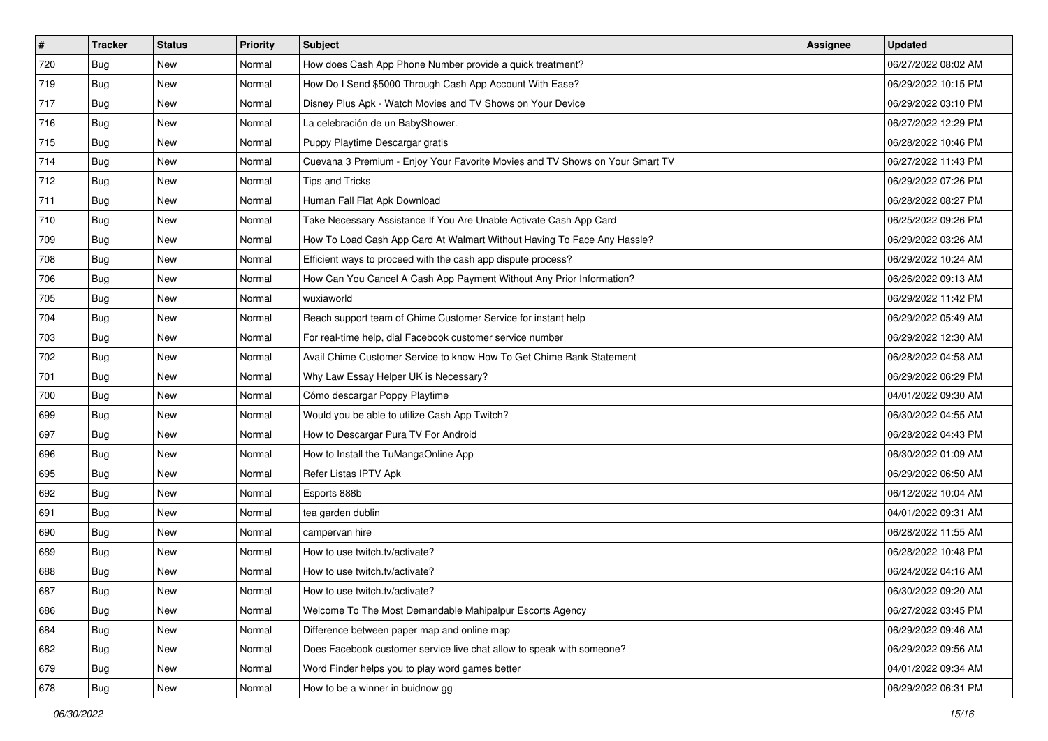| #   | <b>Tracker</b> | <b>Status</b> | <b>Priority</b> | Subject                                                                      | <b>Assignee</b> | <b>Updated</b>      |
|-----|----------------|---------------|-----------------|------------------------------------------------------------------------------|-----------------|---------------------|
| 720 | Bug            | New           | Normal          | How does Cash App Phone Number provide a quick treatment?                    |                 | 06/27/2022 08:02 AM |
| 719 | Bug            | New           | Normal          | How Do I Send \$5000 Through Cash App Account With Ease?                     |                 | 06/29/2022 10:15 PM |
| 717 | Bug            | New           | Normal          | Disney Plus Apk - Watch Movies and TV Shows on Your Device                   |                 | 06/29/2022 03:10 PM |
| 716 | Bug            | New           | Normal          | La celebración de un BabyShower.                                             |                 | 06/27/2022 12:29 PM |
| 715 | Bug            | New           | Normal          | Puppy Playtime Descargar gratis                                              |                 | 06/28/2022 10:46 PM |
| 714 | Bug            | New           | Normal          | Cuevana 3 Premium - Enjoy Your Favorite Movies and TV Shows on Your Smart TV |                 | 06/27/2022 11:43 PM |
| 712 | Bug            | New           | Normal          | <b>Tips and Tricks</b>                                                       |                 | 06/29/2022 07:26 PM |
| 711 | <b>Bug</b>     | New           | Normal          | Human Fall Flat Apk Download                                                 |                 | 06/28/2022 08:27 PM |
| 710 | Bug            | New           | Normal          | Take Necessary Assistance If You Are Unable Activate Cash App Card           |                 | 06/25/2022 09:26 PM |
| 709 | Bug            | New           | Normal          | How To Load Cash App Card At Walmart Without Having To Face Any Hassle?      |                 | 06/29/2022 03:26 AM |
| 708 | Bug            | New           | Normal          | Efficient ways to proceed with the cash app dispute process?                 |                 | 06/29/2022 10:24 AM |
| 706 | Bug            | New           | Normal          | How Can You Cancel A Cash App Payment Without Any Prior Information?         |                 | 06/26/2022 09:13 AM |
| 705 | Bug            | New           | Normal          | wuxiaworld                                                                   |                 | 06/29/2022 11:42 PM |
| 704 | Bug            | New           | Normal          | Reach support team of Chime Customer Service for instant help                |                 | 06/29/2022 05:49 AM |
| 703 | Bug            | New           | Normal          | For real-time help, dial Facebook customer service number                    |                 | 06/29/2022 12:30 AM |
| 702 | Bug            | New           | Normal          | Avail Chime Customer Service to know How To Get Chime Bank Statement         |                 | 06/28/2022 04:58 AM |
| 701 | Bug            | New           | Normal          | Why Law Essay Helper UK is Necessary?                                        |                 | 06/29/2022 06:29 PM |
| 700 | Bug            | New           | Normal          | Cómo descargar Poppy Playtime                                                |                 | 04/01/2022 09:30 AM |
| 699 | Bug            | New           | Normal          | Would you be able to utilize Cash App Twitch?                                |                 | 06/30/2022 04:55 AM |
| 697 | Bug            | New           | Normal          | How to Descargar Pura TV For Android                                         |                 | 06/28/2022 04:43 PM |
| 696 | Bug            | New           | Normal          | How to Install the TuMangaOnline App                                         |                 | 06/30/2022 01:09 AM |
| 695 | Bug            | New           | Normal          | Refer Listas IPTV Apk                                                        |                 | 06/29/2022 06:50 AM |
| 692 | Bug            | New           | Normal          | Esports 888b                                                                 |                 | 06/12/2022 10:04 AM |
| 691 | Bug            | New           | Normal          | tea garden dublin                                                            |                 | 04/01/2022 09:31 AM |
| 690 | Bug            | New           | Normal          | campervan hire                                                               |                 | 06/28/2022 11:55 AM |
| 689 | Bug            | New           | Normal          | How to use twitch.tv/activate?                                               |                 | 06/28/2022 10:48 PM |
| 688 | <b>Bug</b>     | New           | Normal          | How to use twitch.tv/activate?                                               |                 | 06/24/2022 04:16 AM |
| 687 | <b>Bug</b>     | New           | Normal          | How to use twitch.tv/activate?                                               |                 | 06/30/2022 09:20 AM |
| 686 | Bug            | New           | Normal          | Welcome To The Most Demandable Mahipalpur Escorts Agency                     |                 | 06/27/2022 03:45 PM |
| 684 | Bug            | New           | Normal          | Difference between paper map and online map                                  |                 | 06/29/2022 09:46 AM |
| 682 | Bug            | New           | Normal          | Does Facebook customer service live chat allow to speak with someone?        |                 | 06/29/2022 09:56 AM |
| 679 | Bug            | New           | Normal          | Word Finder helps you to play word games better                              |                 | 04/01/2022 09:34 AM |
| 678 | <b>Bug</b>     | New           | Normal          | How to be a winner in buidnow gg                                             |                 | 06/29/2022 06:31 PM |